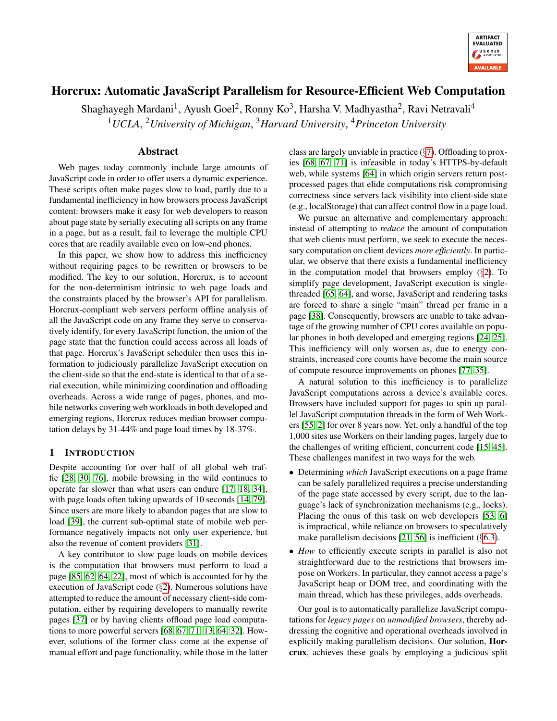

# Horcrux: Automatic JavaScript Parallelism for Resource-Efficient Web Computation

Shaghayegh Mardani<sup>1</sup>, Ayush Goel<sup>2</sup>, Ronny Ko<sup>3</sup>, Harsha V. Madhyastha<sup>2</sup>, Ravi Netravali<sup>4</sup> <sup>1</sup>*UCLA*, <sup>2</sup>*University of Michigan*, <sup>3</sup>*Harvard University*, <sup>4</sup>*Princeton University*

## Abstract

Web pages today commonly include large amounts of JavaScript code in order to offer users a dynamic experience. These scripts often make pages slow to load, partly due to a fundamental inefficiency in how browsers process JavaScript content: browsers make it easy for web developers to reason about page state by serially executing all scripts on any frame in a page, but as a result, fail to leverage the multiple CPU cores that are readily available even on low-end phones.

In this paper, we show how to address this inefficiency without requiring pages to be rewritten or browsers to be modified. The key to our solution, Horcrux, is to account for the non-determinism intrinsic to web page loads and the constraints placed by the browser's API for parallelism. Horcrux-compliant web servers perform offline analysis of all the JavaScript code on any frame they serve to conservatively identify, for every JavaScript function, the union of the page state that the function could access across all loads of that page. Horcrux's JavaScript scheduler then uses this information to judiciously parallelize JavaScript execution on the client-side so that the end-state is identical to that of a serial execution, while minimizing coordination and offloading overheads. Across a wide range of pages, phones, and mobile networks covering web workloads in both developed and emerging regions, Horcrux reduces median browser computation delays by 31-44% and page load times by 18-37%.

# 1 INTRODUCTION

Despite accounting for over half of all global web traffic [\[28,](#page-13-0) [30,](#page-13-1) [76\]](#page-15-0), mobile browsing in the wild continues to operate far slower than what users can endure [\[17,](#page-13-2) [18,](#page-13-3) [34\]](#page-14-0), with page loads often taking upwards of 10 seconds [\[14,](#page-13-4) [79\]](#page-15-1). Since users are more likely to abandon pages that are slow to load [\[39\]](#page-14-1), the current sub-optimal state of mobile web performance negatively impacts not only user experience, but also the revenue of content providers [\[31\]](#page-14-2).

A key contributor to slow page loads on mobile devices is the computation that browsers must perform to load a page [\[85,](#page-16-0) [62,](#page-15-2) [64,](#page-15-3) [22\]](#page-13-5), most of which is accounted for by the execution of JavaScript code (§[2\)](#page-1-0). Numerous solutions have attempted to reduce the amount of necessary client-side computation, either by requiring developers to manually rewrite pages [\[37\]](#page-14-3) or by having clients offload page load computations to more powerful servers [\[68,](#page-15-4) [67,](#page-15-5) [71,](#page-15-6) [13,](#page-13-6) [64,](#page-15-3) [32\]](#page-14-4). However, solutions of the former class come at the expense of manual effort and page functionality, while those in the latter

class are largely unviable in practice (§[7\)](#page-12-0). Offloading to proxies [\[68,](#page-15-4) [67,](#page-15-5) [71\]](#page-15-6) is infeasible in today's HTTPS-by-default web, while systems [\[64\]](#page-15-3) in which origin servers return postprocessed pages that elide computations risk compromising correctness since servers lack visibility into client-side state (e.g., localStorage) that can affect control flow in a page load.

We pursue an alternative and complementary approach: instead of attempting to *reduce* the amount of computation that web clients must perform, we seek to execute the necessary computation on client devices *more efficiently*. In particular, we observe that there exists a fundamental inefficiency in the computation model that browsers employ  $(\S 2)$  $(\S 2)$ . To simplify page development, JavaScript execution is singlethreaded [\[65,](#page-15-7) [64\]](#page-15-3), and worse, JavaScript and rendering tasks are forced to share a single "main" thread per frame in a page [\[38\]](#page-14-5). Consequently, browsers are unable to take advantage of the growing number of CPU cores available on popular phones in both developed and emerging regions [\[24,](#page-13-7) [25\]](#page-13-8). This inefficiency will only worsen as, due to energy constraints, increased core counts have become the main source of compute resource improvements on phones [\[77,](#page-15-8) [35\]](#page-14-6).

A natural solution to this inefficiency is to parallelize JavaScript computations across a device's available cores. Browsers have included support for pages to spin up parallel JavaScript computation threads in the form of Web Workers [\[55,](#page-14-7) [2\]](#page-13-9) for over 8 years now. Yet, only a handful of the top 1,000 sites use Workers on their landing pages, largely due to the challenges of writing efficient, concurrent code [\[15,](#page-13-10) [45\]](#page-14-8). These challenges manifest in two ways for the web.

- Determining *which* JavaScript executions on a page frame can be safely parallelized requires a precise understanding of the page state accessed by every script, due to the language's lack of synchronization mechanisms (e.g., locks). Placing the onus of this task on web developers [\[53,](#page-14-9) [6\]](#page-13-11) is impractical, while reliance on browsers to speculatively make parallelism decisions  $[21, 56]$  $[21, 56]$  is inefficient  $(\S 6.3)$  $(\S 6.3)$ .
- *How* to efficiently execute scripts in parallel is also not straightforward due to the restrictions that browsers impose on Workers. In particular, they cannot access a page's JavaScript heap or DOM tree, and coordinating with the main thread, which has these privileges, adds overheads.

Our goal is to automatically parallelize JavaScript computations for *legacy pages* on *unmodified browsers*, thereby addressing the cognitive and operational overheads involved in explicitly making parallelism decisions. Our solution, Horcrux, achieves these goals by employing a judicious split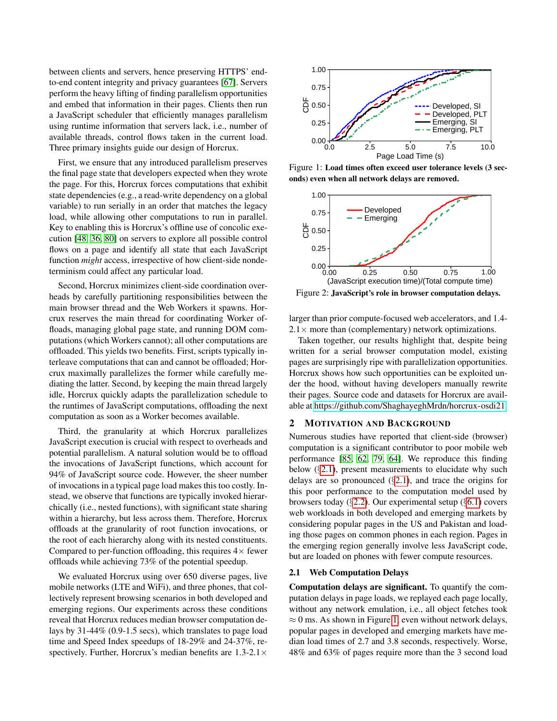between clients and servers, hence preserving HTTPS' endto-end content integrity and privacy guarantees [\[67\]](#page-15-5). Servers perform the heavy lifting of finding parallelism opportunities and embed that information in their pages. Clients then run a JavaScript scheduler that efficiently manages parallelism using runtime information that servers lack, i.e., number of available threads, control flows taken in the current load. Three primary insights guide our design of Horcrux.

First, we ensure that any introduced parallelism preserves the final page state that developers expected when they wrote the page. For this, Horcrux forces computations that exhibit state dependencies (e.g., a read-write dependency on a global variable) to run serially in an order that matches the legacy load, while allowing other computations to run in parallel. Key to enabling this is Horcrux's offline use of concolic execution [\[48,](#page-14-11) [36,](#page-14-12) [80\]](#page-15-9) on servers to explore all possible control flows on a page and identify all state that each JavaScript function *might* access, irrespective of how client-side nondeterminism could affect any particular load.

Second, Horcrux minimizes client-side coordination overheads by carefully partitioning responsibilities between the main browser thread and the Web Workers it spawns. Horcrux reserves the main thread for coordinating Worker offloads, managing global page state, and running DOM computations (which Workers cannot); all other computations are offloaded. This yields two benefits. First, scripts typically interleave computations that can and cannot be offloaded; Horcrux maximally parallelizes the former while carefully mediating the latter. Second, by keeping the main thread largely idle, Horcrux quickly adapts the parallelization schedule to the runtimes of JavaScript computations, offloading the next computation as soon as a Worker becomes available.

Third, the granularity at which Horcrux parallelizes JavaScript execution is crucial with respect to overheads and potential parallelism. A natural solution would be to offload the invocations of JavaScript functions, which account for 94% of JavaScript source code. However, the sheer number of invocations in a typical page load makes this too costly. Instead, we observe that functions are typically invoked hierarchically (i.e., nested functions), with significant state sharing within a hierarchy, but less across them. Therefore, Horcrux offloads at the granularity of root function invocations, or the root of each hierarchy along with its nested constituents. Compared to per-function offloading, this requires  $4\times$  fewer offloads while achieving 73% of the potential speedup.

We evaluated Horcrux using over 650 diverse pages, live mobile networks (LTE and WiFi), and three phones, that collectively represent browsing scenarios in both developed and emerging regions. Our experiments across these conditions reveal that Horcrux reduces median browser computation delays by 31-44% (0.9-1.5 secs), which translates to page load time and Speed Index speedups of 18-29% and 24-37%, respectively. Further, Horcrux's median benefits are  $1.3\n-2.1\times$ 

<span id="page-1-2"></span>

Figure 1: Load times often exceed user tolerance levels (3 seconds) even when all network delays are removed.

<span id="page-1-3"></span>

Figure 2: JavaScript's role in browser computation delays.

larger than prior compute-focused web accelerators, and 1.4-  $2.1 \times$  more than (complementary) network optimizations.

Taken together, our results highlight that, despite being written for a serial browser computation model, existing pages are surprisingly ripe with parallelization opportunities. Horcrux shows how such opportunities can be exploited under the hood, without having developers manually rewrite their pages. Source code and datasets for Horcrux are available at [https://github.com/ShaghayeghMrdn/horcrux-osdi21.](https://github.com/ShaghayeghMrdn/horcrux-osdi21)

# <span id="page-1-0"></span>2 MOTIVATION AND BACKGROUND

Numerous studies have reported that client-side (browser) computation is a significant contributor to poor mobile web performance [\[85,](#page-16-0) [62,](#page-15-2) [79,](#page-15-1) [64\]](#page-15-3). We reproduce this finding below  $(\S2.1)$  $(\S2.1)$ , present measurements to elucidate why such delays are so pronounced  $(\S$ [2.1\)](#page-1-1), and trace the origins for this poor performance to the computation model used by browsers today ( $\S$ [2.2\)](#page-2-0). Our experimental setup ( $\S$ [6.1\)](#page-9-0) covers web workloads in both developed and emerging markets by considering popular pages in the US and Pakistan and loading those pages on common phones in each region. Pages in the emerging region generally involve less JavaScript code, but are loaded on phones with fewer compute resources.

# <span id="page-1-1"></span>2.1 Web Computation Delays

Computation delays are significant. To quantify the computation delays in page loads, we replayed each page locally, without any network emulation, i.e., all object fetches took  $\approx$  0 ms. As shown in Figure [1,](#page-1-2) even without network delays, popular pages in developed and emerging markets have median load times of 2.7 and 3.8 seconds, respectively. Worse, 48% and 63% of pages require more than the 3 second load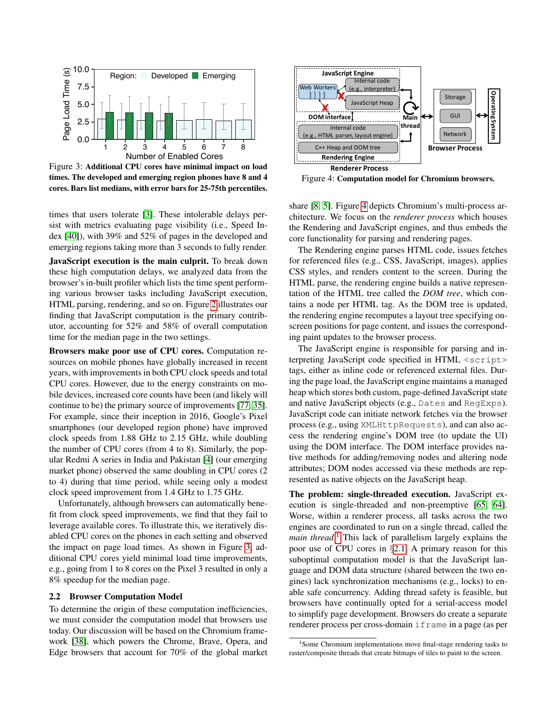<span id="page-2-1"></span>

Figure 3: Additional CPU cores have minimal impact on load times. The developed and emerging region phones have 8 and 4 cores. Bars list medians, with error bars for 25-75th percentiles.

times that users tolerate [\[3\]](#page-13-13). These intolerable delays persist with metrics evaluating page visibility (i.e., Speed Index [\[40\]](#page-14-13)), with 39% and 52% of pages in the developed and emerging regions taking more than 3 seconds to fully render.

JavaScript execution is the main culprit. To break down these high computation delays, we analyzed data from the browser's in-built profiler which lists the time spent performing various browser tasks including JavaScript execution, HTML parsing, rendering, and so on. Figure [2](#page-1-3) illustrates our finding that JavaScript computation is the primary contributor, accounting for 52% and 58% of overall computation time for the median page in the two settings.

Browsers make poor use of CPU cores. Computation resources on mobile phones have globally increased in recent years, with improvements in both CPU clock speeds and total CPU cores. However, due to the energy constraints on mobile devices, increased core counts have been (and likely will continue to be) the primary source of improvements [\[77,](#page-15-8) [35\]](#page-14-6). For example, since their inception in 2016, Google's Pixel smartphones (our developed region phone) have improved clock speeds from 1.88 GHz to 2.15 GHz, while doubling the number of CPU cores (from 4 to 8). Similarly, the popular Redmi A series in India and Pakistan [\[4\]](#page-13-14) (our emerging market phone) observed the same doubling in CPU cores (2 to 4) during that time period, while seeing only a modest clock speed improvement from 1.4 GHz to 1.75 GHz.

Unfortunately, although browsers can automatically benefit from clock speed improvements, we find that they fail to leverage available cores. To illustrate this, we iteratively disabled CPU cores on the phones in each setting and observed the impact on page load times. As shown in Figure [3,](#page-2-1) additional CPU cores yield minimal load time improvements, e.g., going from 1 to 8 cores on the Pixel 3 resulted in only a 8% speedup for the median page.

#### <span id="page-2-0"></span>2.2 Browser Computation Model

To determine the origin of these computation inefficiencies, we must consider the computation model that browsers use today. Our discussion will be based on the Chromium framework [\[38\]](#page-14-5), which powers the Chrome, Brave, Opera, and Edge browsers that account for 70% of the global market

<span id="page-2-2"></span>

Figure 4: Computation model for Chromium browsers.

share [\[8,](#page-13-15) [5\]](#page-13-16). Figure [4](#page-2-2) depicts Chromium's multi-process architecture. We focus on the *renderer process* which houses the Rendering and JavaScript engines, and thus embeds the core functionality for parsing and rendering pages.

The Rendering engine parses HTML code, issues fetches for referenced files (e.g., CSS, JavaScript, images), applies CSS styles, and renders content to the screen. During the HTML parse, the rendering engine builds a native representation of the HTML tree called the *DOM tree*, which contains a node per HTML tag. As the DOM tree is updated, the rendering engine recomputes a layout tree specifying onscreen positions for page content, and issues the corresponding paint updates to the browser process.

The JavaScript engine is responsible for parsing and interpreting JavaScript code specified in HTML <script> tags, either as inline code or referenced external files. During the page load, the JavaScript engine maintains a managed heap which stores both custom, page-defined JavaScript state and native JavaScript objects (e.g., Dates and RegExps). JavaScript code can initiate network fetches via the browser process (e.g., using XMLHttpRequests), and can also access the rendering engine's DOM tree (to update the UI) using the DOM interface. The DOM interface provides native methods for adding/removing nodes and altering node attributes; DOM nodes accessed via these methods are represented as native objects on the JavaScript heap.

The problem: single-threaded execution. JavaScript execution is single-threaded and non-preemptive [\[65,](#page-15-7) [64\]](#page-15-3). Worse, within a renderer process, all tasks across the two engines are coordinated to run on a single thread, called the *main thread*. [1](#page-2-3) This lack of parallelism largely explains the poor use of CPU cores in §[2.1.](#page-1-1) A primary reason for this suboptimal computation model is that the JavaScript language and DOM data structure (shared between the two engines) lack synchronization mechanisms (e.g., locks) to enable safe concurrency. Adding thread safety is feasible, but browsers have continually opted for a serial-access model to simplify page development. Browsers do create a separate renderer process per cross-domain iframe in a page (as per

<span id="page-2-3"></span><sup>&</sup>lt;sup>1</sup>Some Chromium implementations move final-stage rendering tasks to raster/composite threads that create bitmaps of tiles to paint to the screen.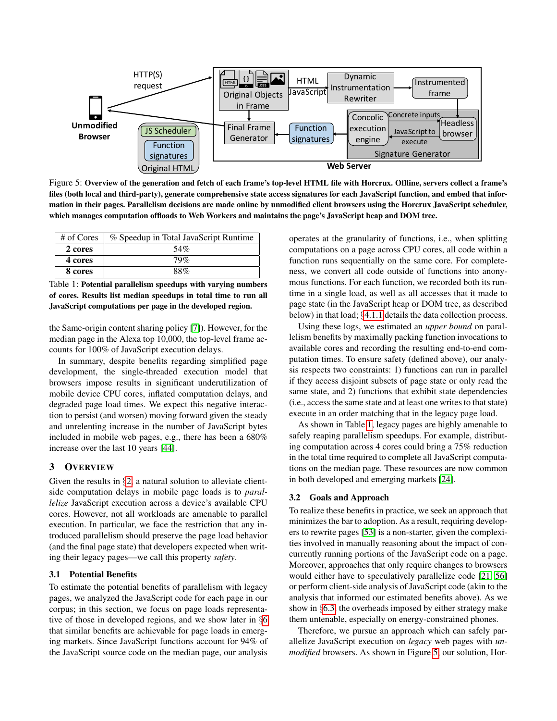<span id="page-3-1"></span>

Figure 5: Overview of the generation and fetch of each frame's top-level HTML file with Horcrux. Offline, servers collect a frame's files (both local and third-party), generate comprehensive state access signatures for each JavaScript function, and embed that information in their pages. Parallelism decisions are made online by unmodified client browsers using the Horcrux JavaScript scheduler, which manages computation offloads to Web Workers and maintains the page's JavaScript heap and DOM tree.

<span id="page-3-0"></span>

| # of Cores | % Speedup in Total JavaScript Runtime |
|------------|---------------------------------------|
| 2 cores    | 54%                                   |
| 4 cores    | 79%                                   |
| 8 cores    | 88%                                   |

Table 1: Potential parallelism speedups with varying numbers of cores. Results list median speedups in total time to run all JavaScript computations per page in the developed region.

the Same-origin content sharing policy [\[7\]](#page-13-17)). However, for the median page in the Alexa top 10,000, the top-level frame accounts for 100% of JavaScript execution delays.

In summary, despite benefits regarding simplified page development, the single-threaded execution model that browsers impose results in significant underutilization of mobile device CPU cores, inflated computation delays, and degraded page load times. We expect this negative interaction to persist (and worsen) moving forward given the steady and unrelenting increase in the number of JavaScript bytes included in mobile web pages, e.g., there has been a 680% increase over the last 10 years [\[44\]](#page-14-14).

## <span id="page-3-2"></span>3 OVERVIEW

Given the results in  $\S2$ , a natural solution to alleviate clientside computation delays in mobile page loads is to *parallelize* JavaScript execution across a device's available CPU cores. However, not all workloads are amenable to parallel execution. In particular, we face the restriction that any introduced parallelism should preserve the page load behavior (and the final page state) that developers expected when writing their legacy pages—we call this property *safety*.

### <span id="page-3-4"></span>3.1 Potential Benefits

To estimate the potential benefits of parallelism with legacy pages, we analyzed the JavaScript code for each page in our corpus; in this section, we focus on page loads representative of those in developed regions, and we show later in §[6](#page-8-0) that similar benefits are achievable for page loads in emerging markets. Since JavaScript functions account for 94% of the JavaScript source code on the median page, our analysis

operates at the granularity of functions, i.e., when splitting computations on a page across CPU cores, all code within a function runs sequentially on the same core. For completeness, we convert all code outside of functions into anonymous functions. For each function, we recorded both its runtime in a single load, as well as all accesses that it made to page state (in the JavaScript heap or DOM tree, as described below) in that load; §[4.1.1](#page-4-0) details the data collection process.

Using these logs, we estimated an *upper bound* on parallelism benefits by maximally packing function invocations to available cores and recording the resulting end-to-end computation times. To ensure safety (defined above), our analysis respects two constraints: 1) functions can run in parallel if they access disjoint subsets of page state or only read the same state, and 2) functions that exhibit state dependencies (i.e., access the same state and at least one writes to that state) execute in an order matching that in the legacy page load.

As shown in Table [1,](#page-3-0) legacy pages are highly amenable to safely reaping parallelism speedups. For example, distributing computation across 4 cores could bring a 75% reduction in the total time required to complete all JavaScript computations on the median page. These resources are now common in both developed and emerging markets [\[24\]](#page-13-7).

#### <span id="page-3-3"></span>3.2 Goals and Approach

To realize these benefits in practice, we seek an approach that minimizes the bar to adoption. As a result, requiring developers to rewrite pages [\[53\]](#page-14-9) is a non-starter, given the complexities involved in manually reasoning about the impact of concurrently running portions of the JavaScript code on a page. Moreover, approaches that only require changes to browsers would either have to speculatively parallelize code [\[21,](#page-13-12) [56\]](#page-14-10) or perform client-side analysis of JavaScript code (akin to the analysis that informed our estimated benefits above). As we show in §[6.3,](#page-10-0) the overheads imposed by either strategy make them untenable, especially on energy-constrained phones.

Therefore, we pursue an approach which can safely parallelize JavaScript execution on *legacy* web pages with *unmodified* browsers. As shown in Figure [5,](#page-3-1) our solution, Hor-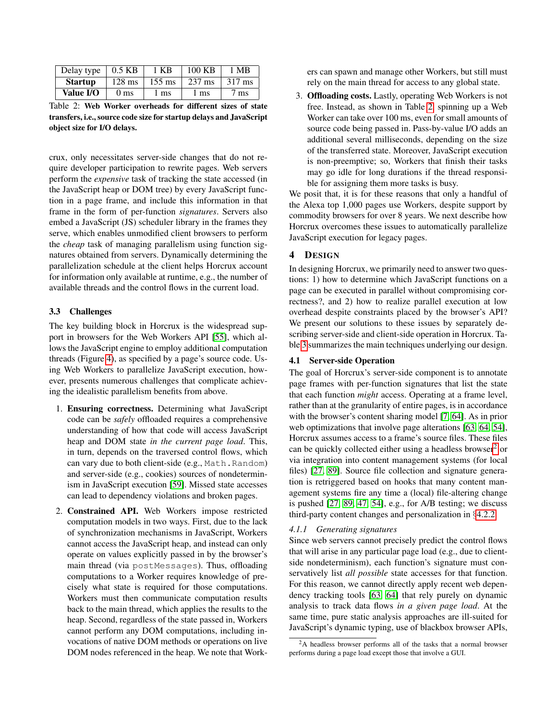<span id="page-4-1"></span>

| Delay type     | $0.5$ KB         | 1 KB             | 100 KB           | 1 MB   |
|----------------|------------------|------------------|------------------|--------|
| <b>Startup</b> | $128 \text{ ms}$ | $155 \text{ ms}$ | $237 \text{ ms}$ | 317 ms |
| Value I/O      | 0 <sub>ms</sub>  | 1 ms             | 1 ms             | 7 ms   |

Table 2: Web Worker overheads for different sizes of state transfers, i.e., source code size for startup delays and JavaScript object size for I/O delays.

crux, only necessitates server-side changes that do not require developer participation to rewrite pages. Web servers perform the *expensive* task of tracking the state accessed (in the JavaScript heap or DOM tree) by every JavaScript function in a page frame, and include this information in that frame in the form of per-function *signatures*. Servers also embed a JavaScript (JS) scheduler library in the frames they serve, which enables unmodified client browsers to perform the *cheap* task of managing parallelism using function signatures obtained from servers. Dynamically determining the parallelization schedule at the client helps Horcrux account for information only available at runtime, e.g., the number of available threads and the control flows in the current load.

#### 3.3 Challenges

The key building block in Horcrux is the widespread support in browsers for the Web Workers API [\[55\]](#page-14-7), which allows the JavaScript engine to employ additional computation threads (Figure [4\)](#page-2-2), as specified by a page's source code. Using Web Workers to parallelize JavaScript execution, however, presents numerous challenges that complicate achieving the idealistic parallelism benefits from above.

- 1. Ensuring correctness. Determining what JavaScript code can be *safely* offloaded requires a comprehensive understanding of how that code will access JavaScript heap and DOM state *in the current page load*. This, in turn, depends on the traversed control flows, which can vary due to both client-side (e.g., Math.Random) and server-side (e.g., cookies) sources of nondeterminism in JavaScript execution [\[59\]](#page-14-15). Missed state accesses can lead to dependency violations and broken pages.
- 2. Constrained API. Web Workers impose restricted computation models in two ways. First, due to the lack of synchronization mechanisms in JavaScript, Workers cannot access the JavaScript heap, and instead can only operate on values explicitly passed in by the browser's main thread (via postMessages). Thus, offloading computations to a Worker requires knowledge of precisely what state is required for those computations. Workers must then communicate computation results back to the main thread, which applies the results to the heap. Second, regardless of the state passed in, Workers cannot perform any DOM computations, including invocations of native DOM methods or operations on live DOM nodes referenced in the heap. We note that Work-

ers can spawn and manage other Workers, but still must rely on the main thread for access to any global state.

3. Offloading costs. Lastly, operating Web Workers is not free. Instead, as shown in Table [2,](#page-4-1) spinning up a Web Worker can take over 100 ms, even for small amounts of source code being passed in. Pass-by-value I/O adds an additional several milliseconds, depending on the size of the transferred state. Moreover, JavaScript execution is non-preemptive; so, Workers that finish their tasks may go idle for long durations if the thread responsible for assigning them more tasks is busy.

We posit that, it is for these reasons that only a handful of the Alexa top 1,000 pages use Workers, despite support by commodity browsers for over 8 years. We next describe how Horcrux overcomes these issues to automatically parallelize JavaScript execution for legacy pages.

## <span id="page-4-4"></span>4 DESIGN

In designing Horcrux, we primarily need to answer two questions: 1) how to determine which JavaScript functions on a page can be executed in parallel without compromising correctness?, and 2) how to realize parallel execution at low overhead despite constraints placed by the browser's API? We present our solutions to these issues by separately describing server-side and client-side operation in Horcrux. Table [3](#page-5-0) summarizes the main techniques underlying our design.

### <span id="page-4-3"></span>4.1 Server-side Operation

The goal of Horcrux's server-side component is to annotate page frames with per-function signatures that list the state that each function *might* access. Operating at a frame level, rather than at the granularity of entire pages, is in accordance with the browser's content sharing model [\[7,](#page-13-17) [64\]](#page-15-3). As in prior web optimizations that involve page alterations [\[63,](#page-15-10) [64,](#page-15-3) [54\]](#page-14-16), Horcrux assumes access to a frame's source files. These files can be quickly collected either using a headless browser<sup>[2](#page-4-2)</sup> or via integration into content management systems (for local files) [\[27,](#page-13-18) [89\]](#page-16-1). Source file collection and signature generation is retriggered based on hooks that many content management systems fire any time a (local) file-altering change is pushed [\[27,](#page-13-18) [89,](#page-16-1) [47,](#page-14-17) [54\]](#page-14-16), e.g., for A/B testing; we discuss third-party content changes and personalization in §[4.2.2.](#page-6-0)

#### <span id="page-4-0"></span>*4.1.1 Generating signatures*

Since web servers cannot precisely predict the control flows that will arise in any particular page load (e.g., due to clientside nondeterminism), each function's signature must conservatively list *all possible* state accesses for that function. For this reason, we cannot directly apply recent web dependency tracking tools [\[63,](#page-15-10) [64\]](#page-15-3) that rely purely on dynamic analysis to track data flows *in a given page load*. At the same time, pure static analysis approaches are ill-suited for JavaScript's dynamic typing, use of blackbox browser APIs,

<span id="page-4-2"></span><sup>&</sup>lt;sup>2</sup>A headless browser performs all of the tasks that a normal browser performs during a page load except those that involve a GUI.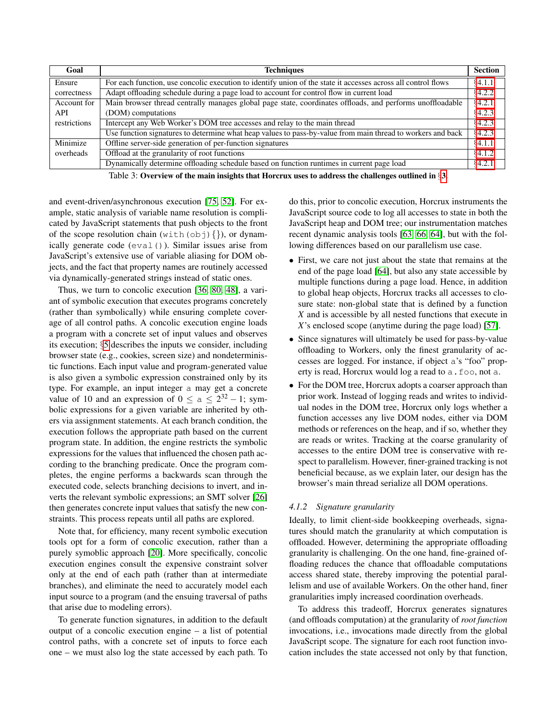<span id="page-5-0"></span>

| Goal         | <b>Techniques</b>                                                                                             | <b>Section</b> |
|--------------|---------------------------------------------------------------------------------------------------------------|----------------|
| Ensure       | For each function, use concolic execution to identify union of the state it accesses across all control flows | §4.1.1         |
| correctness  | Adapt offloading schedule during a page load to account for control flow in current load<br>§4.2.2            |                |
| Account for  | Main browser thread centrally manages global page state, coordinates offloads, and performs unoffloadable     | §4.2.1,        |
| <b>API</b>   | (DOM) computations                                                                                            | §4.2.3         |
| restrictions | Intercept any Web Worker's DOM tree accesses and relay to the main thread                                     | 64.2.3         |
|              | Use function signatures to determine what heap values to pass-by-value from main thread to workers and back   | §4.2.3         |
| Minimize     | Offline server-side generation of per-function signatures                                                     | §4.1.1         |
| overheads    | Offload at the granularity of root functions                                                                  | 64.1.2         |
|              | Dynamically determine offloading schedule based on function runtimes in current page load                     | §4.2.1         |

Table 3: Overview of the main insights that Horcrux uses to address the challenges outlined in §[3.](#page-3-2)

and event-driven/asynchronous execution [\[75,](#page-15-11) [52\]](#page-14-18). For example, static analysis of variable name resolution is complicated by JavaScript statements that push objects to the front of the scope resolution chain (with  $(\text{obj})\{\})$ , or dynamically generate code (eval()). Similar issues arise from JavaScript's extensive use of variable aliasing for DOM objects, and the fact that property names are routinely accessed via dynamically-generated strings instead of static ones.

Thus, we turn to concolic execution [\[36,](#page-14-12) [80,](#page-15-9) [48\]](#page-14-11), a variant of symbolic execution that executes programs concretely (rather than symbolically) while ensuring complete coverage of all control paths. A concolic execution engine loads a program with a concrete set of input values and observes its execution; §[5](#page-8-1) describes the inputs we consider, including browser state (e.g., cookies, screen size) and nondeterministic functions. Each input value and program-generated value is also given a symbolic expression constrained only by its type. For example, an input integer a may get a concrete value of 10 and an expression of  $0 \le a \le 2^{32} - 1$ ; symbolic expressions for a given variable are inherited by others via assignment statements. At each branch condition, the execution follows the appropriate path based on the current program state. In addition, the engine restricts the symbolic expressions for the values that influenced the chosen path according to the branching predicate. Once the program completes, the engine performs a backwards scan through the executed code, selects branching decisions to invert, and inverts the relevant symbolic expressions; an SMT solver [\[26\]](#page-13-19) then generates concrete input values that satisfy the new constraints. This process repeats until all paths are explored.

Note that, for efficiency, many recent symbolic execution tools opt for a form of concolic execution, rather than a purely symoblic approach [\[20\]](#page-13-20). More specifically, concolic execution engines consult the expensive constraint solver only at the end of each path (rather than at intermediate branches), and eliminate the need to accurately model each input source to a program (and the ensuing traversal of paths that arise due to modeling errors).

To generate function signatures, in addition to the default output of a concolic execution engine – a list of potential control paths, with a concrete set of inputs to force each one – we must also log the state accessed by each path. To

do this, prior to concolic execution, Horcrux instruments the JavaScript source code to log all accesses to state in both the JavaScript heap and DOM tree; our instrumentation matches recent dynamic analysis tools [\[63,](#page-15-10) [66,](#page-15-12) [64\]](#page-15-3), but with the following differences based on our parallelism use case.

- First, we care not just about the state that remains at the end of the page load [\[64\]](#page-15-3), but also any state accessible by multiple functions during a page load. Hence, in addition to global heap objects, Horcrux tracks all accesses to closure state: non-global state that is defined by a function *X* and is accessible by all nested functions that execute in *X*'s enclosed scope (anytime during the page load) [\[57\]](#page-14-19).
- Since signatures will ultimately be used for pass-by-value offloading to Workers, only the finest granularity of accesses are logged. For instance, if object a's "foo" property is read, Horcrux would log a read to a.foo, not a.
- For the DOM tree, Horcrux adopts a coarser approach than prior work. Instead of logging reads and writes to individual nodes in the DOM tree, Horcrux only logs whether a function accesses any live DOM nodes, either via DOM methods or references on the heap, and if so, whether they are reads or writes. Tracking at the coarse granularity of accesses to the entire DOM tree is conservative with respect to parallelism. However, finer-grained tracking is not beneficial because, as we explain later, our design has the browser's main thread serialize all DOM operations.

# <span id="page-5-1"></span>*4.1.2 Signature granularity*

Ideally, to limit client-side bookkeeping overheads, signatures should match the granularity at which computation is offloaded. However, determining the appropriate offloading granularity is challenging. On the one hand, fine-grained offloading reduces the chance that offloadable computations access shared state, thereby improving the potential parallelism and use of available Workers. On the other hand, finer granularities imply increased coordination overheads.

To address this tradeoff, Horcrux generates signatures (and offloads computation) at the granularity of *root function* invocations, i.e., invocations made directly from the global JavaScript scope. The signature for each root function invocation includes the state accessed not only by that function,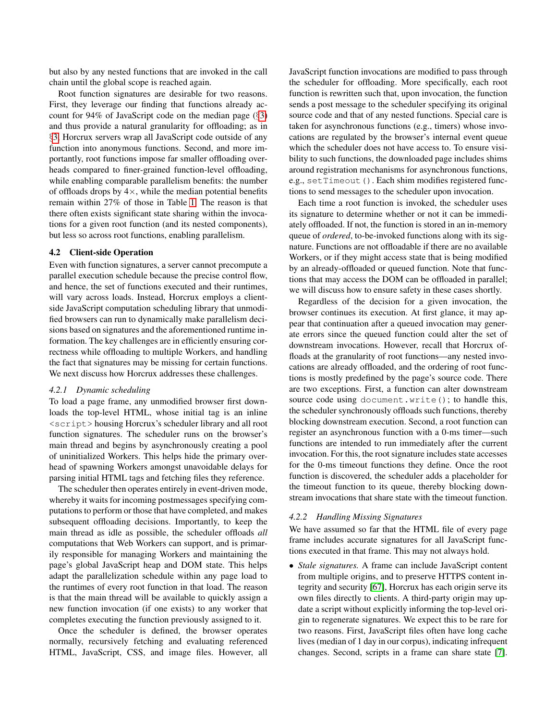but also by any nested functions that are invoked in the call chain until the global scope is reached again.

Root function signatures are desirable for two reasons. First, they leverage our finding that functions already account for 94% of JavaScript code on the median page (§[3\)](#page-3-2) and thus provide a natural granularity for offloading; as in §[3,](#page-3-2) Horcrux servers wrap all JavaScript code outside of any function into anonymous functions. Second, and more importantly, root functions impose far smaller offloading overheads compared to finer-grained function-level offloading, while enabling comparable parallelism benefits: the number of offloads drops by  $4\times$ , while the median potential benefits remain within 27% of those in Table [1.](#page-3-0) The reason is that there often exists significant state sharing within the invocations for a given root function (and its nested components), but less so across root functions, enabling parallelism.

# <span id="page-6-2"></span>4.2 Client-side Operation

Even with function signatures, a server cannot precompute a parallel execution schedule because the precise control flow, and hence, the set of functions executed and their runtimes, will vary across loads. Instead, Horcrux employs a clientside JavaScript computation scheduling library that unmodified browsers can run to dynamically make parallelism decisions based on signatures and the aforementioned runtime information. The key challenges are in efficiently ensuring correctness while offloading to multiple Workers, and handling the fact that signatures may be missing for certain functions. We next discuss how Horcrux addresses these challenges.

#### <span id="page-6-1"></span>*4.2.1 Dynamic scheduling*

To load a page frame, any unmodified browser first downloads the top-level HTML, whose initial tag is an inline <script> housing Horcrux's scheduler library and all root function signatures. The scheduler runs on the browser's main thread and begins by asynchronously creating a pool of uninitialized Workers. This helps hide the primary overhead of spawning Workers amongst unavoidable delays for parsing initial HTML tags and fetching files they reference.

The scheduler then operates entirely in event-driven mode, whereby it waits for incoming postmessages specifying computations to perform or those that have completed, and makes subsequent offloading decisions. Importantly, to keep the main thread as idle as possible, the scheduler offloads *all* computations that Web Workers can support, and is primarily responsible for managing Workers and maintaining the page's global JavaScript heap and DOM state. This helps adapt the parallelization schedule within any page load to the runtimes of every root function in that load. The reason is that the main thread will be available to quickly assign a new function invocation (if one exists) to any worker that completes executing the function previously assigned to it.

Once the scheduler is defined, the browser operates normally, recursively fetching and evaluating referenced HTML, JavaScript, CSS, and image files. However, all JavaScript function invocations are modified to pass through the scheduler for offloading. More specifically, each root function is rewritten such that, upon invocation, the function sends a post message to the scheduler specifying its original source code and that of any nested functions. Special care is taken for asynchronous functions (e.g., timers) whose invocations are regulated by the browser's internal event queue which the scheduler does not have access to. To ensure visibility to such functions, the downloaded page includes shims around registration mechanisms for asynchronous functions, e.g., setTimeout (). Each shim modifies registered functions to send messages to the scheduler upon invocation.

Each time a root function is invoked, the scheduler uses its signature to determine whether or not it can be immediately offloaded. If not, the function is stored in an in-memory queue of *ordered*, to-be-invoked functions along with its signature. Functions are not offloadable if there are no available Workers, or if they might access state that is being modified by an already-offloaded or queued function. Note that functions that may access the DOM can be offloaded in parallel; we will discuss how to ensure safety in these cases shortly.

Regardless of the decision for a given invocation, the browser continues its execution. At first glance, it may appear that continuation after a queued invocation may generate errors since the queued function could alter the set of downstream invocations. However, recall that Horcrux offloads at the granularity of root functions—any nested invocations are already offloaded, and the ordering of root functions is mostly predefined by the page's source code. There are two exceptions. First, a function can alter downstream source code using document.write(); to handle this, the scheduler synchronously offloads such functions, thereby blocking downstream execution. Second, a root function can register an asynchronous function with a 0-ms timer—such functions are intended to run immediately after the current invocation. For this, the root signature includes state accesses for the 0-ms timeout functions they define. Once the root function is discovered, the scheduler adds a placeholder for the timeout function to its queue, thereby blocking downstream invocations that share state with the timeout function.

#### <span id="page-6-0"></span>*4.2.2 Handling Missing Signatures*

We have assumed so far that the HTML file of every page frame includes accurate signatures for all JavaScript functions executed in that frame. This may not always hold.

• *Stale signatures.* A frame can include JavaScript content from multiple origins, and to preserve HTTPS content integrity and security [\[67\]](#page-15-5), Horcrux has each origin serve its own files directly to clients. A third-party origin may update a script without explicitly informing the top-level origin to regenerate signatures. We expect this to be rare for two reasons. First, JavaScript files often have long cache lives (median of 1 day in our corpus), indicating infrequent changes. Second, scripts in a frame can share state [\[7\]](#page-13-17).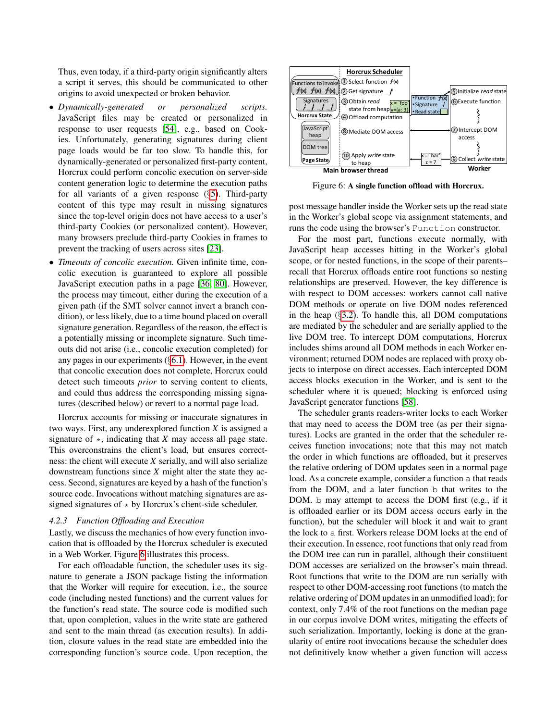Thus, even today, if a third-party origin significantly alters a script it serves, this should be communicated to other origins to avoid unexpected or broken behavior.

- *Dynamically-generated or personalized scripts.* JavaScript files may be created or personalized in response to user requests [\[54\]](#page-14-16), e.g., based on Cookies. Unfortunately, generating signatures during client page loads would be far too slow. To handle this, for dynamically-generated or personalized first-party content, Horcrux could perform concolic execution on server-side content generation logic to determine the execution paths for all variants of a given response (§[5\)](#page-8-1). Third-party content of this type may result in missing signatures since the top-level origin does not have access to a user's third-party Cookies (or personalized content). However, many browsers preclude third-party Cookies in frames to prevent the tracking of users across sites [\[23\]](#page-13-21).
- *Timeouts of concolic execution.* Given infinite time, concolic execution is guaranteed to explore all possible JavaScript execution paths in a page [\[36,](#page-14-12) [80\]](#page-15-9). However, the process may timeout, either during the execution of a given path (if the SMT solver cannot invert a branch condition), or less likely, due to a time bound placed on overall signature generation. Regardless of the reason, the effect is a potentially missing or incomplete signature. Such timeouts did not arise (i.e., concolic execution completed) for any pages in our experiments  $(\S 6.1)$  $(\S 6.1)$ . However, in the event that concolic execution does not complete, Horcrux could detect such timeouts *prior* to serving content to clients, and could thus address the corresponding missing signatures (described below) or revert to a normal page load.

Horcrux accounts for missing or inaccurate signatures in two ways. First, any underexplored function *X* is assigned a signature of  $\star$ , indicating that *X* may access all page state. This overconstrains the client's load, but ensures correctness: the client will execute *X* serially, and will also serialize downstream functions since *X* might alter the state they access. Second, signatures are keyed by a hash of the function's source code. Invocations without matching signatures are assigned signatures of  $\star$  by Horcrux's client-side scheduler.

#### <span id="page-7-0"></span>*4.2.3 Function Offloading and Execution*

Lastly, we discuss the mechanics of how every function invocation that is offloaded by the Horcrux scheduler is executed in a Web Worker. Figure [6](#page-7-1) illustrates this process.

For each offloadable function, the scheduler uses its signature to generate a JSON package listing the information that the Worker will require for execution, i.e., the source code (including nested functions) and the current values for the function's read state. The source code is modified such that, upon completion, values in the write state are gathered and sent to the main thread (as execution results). In addition, closure values in the read state are embedded into the corresponding function's source code. Upon reception, the

<span id="page-7-1"></span>

Figure 6: A single function offload with Horcrux.

post message handler inside the Worker sets up the read state in the Worker's global scope via assignment statements, and runs the code using the browser's Function constructor.

For the most part, functions execute normally, with JavaScript heap accesses hitting in the Worker's global scope, or for nested functions, in the scope of their parents– recall that Horcrux offloads entire root functions so nesting relationships are preserved. However, the key difference is with respect to DOM accesses: workers cannot call native DOM methods or operate on live DOM nodes referenced in the heap  $(\S3.2)$  $(\S3.2)$ . To handle this, all DOM computations are mediated by the scheduler and are serially applied to the live DOM tree. To intercept DOM computations, Horcrux includes shims around all DOM methods in each Worker environment; returned DOM nodes are replaced with proxy objects to interpose on direct accesses. Each intercepted DOM access blocks execution in the Worker, and is sent to the scheduler where it is queued; blocking is enforced using JavaScript generator functions [\[58\]](#page-14-20).

The scheduler grants readers-writer locks to each Worker that may need to access the DOM tree (as per their signatures). Locks are granted in the order that the scheduler receives function invocations; note that this may not match the order in which functions are offloaded, but it preserves the relative ordering of DOM updates seen in a normal page load. As a concrete example, consider a function a that reads from the DOM, and a later function b that writes to the DOM. b may attempt to access the DOM first (e.g., if it is offloaded earlier or its DOM access occurs early in the function), but the scheduler will block it and wait to grant the lock to a first. Workers release DOM locks at the end of their execution. In essence, root functions that only read from the DOM tree can run in parallel, although their constituent DOM accesses are serialized on the browser's main thread. Root functions that write to the DOM are run serially with respect to other DOM-accessing root functions (to match the relative ordering of DOM updates in an unmodified load); for context, only 7.4% of the root functions on the median page in our corpus involve DOM writes, mitigating the effects of such serialization. Importantly, locking is done at the granularity of entire root invocations because the scheduler does not definitively know whether a given function will access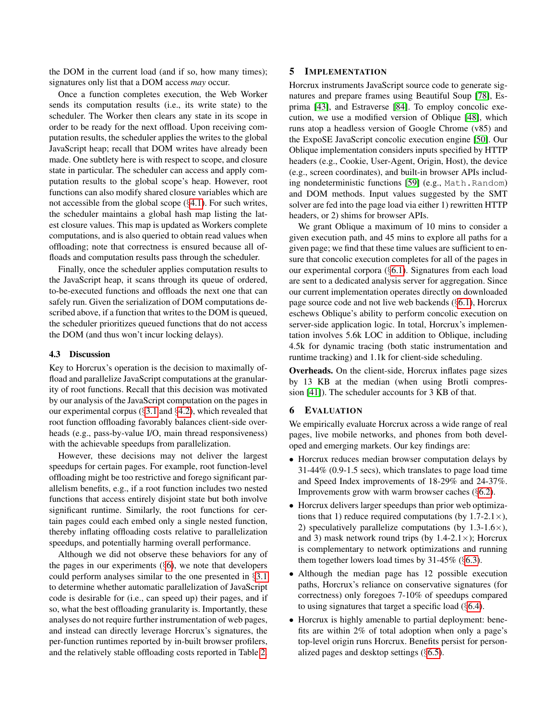the DOM in the current load (and if so, how many times); signatures only list that a DOM access *may* occur.

Once a function completes execution, the Web Worker sends its computation results (i.e., its write state) to the scheduler. The Worker then clears any state in its scope in order to be ready for the next offload. Upon receiving computation results, the scheduler applies the writes to the global JavaScript heap; recall that DOM writes have already been made. One subtlety here is with respect to scope, and closure state in particular. The scheduler can access and apply computation results to the global scope's heap. However, root functions can also modify shared closure variables which are not accessible from the global scope (§[4.1\)](#page-4-3). For such writes, the scheduler maintains a global hash map listing the latest closure values. This map is updated as Workers complete computations, and is also queried to obtain read values when offloading; note that correctness is ensured because all offloads and computation results pass through the scheduler.

Finally, once the scheduler applies computation results to the JavaScript heap, it scans through its queue of ordered, to-be-executed functions and offloads the next one that can safely run. Given the serialization of DOM computations described above, if a function that writes to the DOM is queued, the scheduler prioritizes queued functions that do not access the DOM (and thus won't incur locking delays).

#### 4.3 Discussion

Key to Horcrux's operation is the decision to maximally offload and parallelize JavaScript computations at the granularity of root functions. Recall that this decision was motivated by our analysis of the JavaScript computation on the pages in our experimental corpus (§[3.1](#page-3-4) and §[4.2\)](#page-6-2), which revealed that root function offloading favorably balances client-side overheads (e.g., pass-by-value I/O, main thread responsiveness) with the achievable speedups from parallelization.

However, these decisions may not deliver the largest speedups for certain pages. For example, root function-level offloading might be too restrictive and forego significant parallelism benefits, e.g., if a root function includes two nested functions that access entirely disjoint state but both involve significant runtime. Similarly, the root functions for certain pages could each embed only a single nested function, thereby inflating offloading costs relative to parallelization speedups, and potentially harming overall performance.

Although we did not observe these behaviors for any of the pages in our experiments (§[6\)](#page-8-0), we note that developers could perform analyses similar to the one presented in §[3.1](#page-3-4) to determine whether automatic parallelization of JavaScript code is desirable for (i.e., can speed up) their pages, and if so, what the best offloading granularity is. Importantly, these analyses do not require further instrumentation of web pages, and instead can directly leverage Horcrux's signatures, the per-function runtimes reported by in-built browser profilers, and the relatively stable offloading costs reported in Table [2.](#page-4-1)

### <span id="page-8-1"></span>5 IMPLEMENTATION

Horcrux instruments JavaScript source code to generate signatures and prepare frames using Beautiful Soup [\[78\]](#page-15-13), Esprima [\[43\]](#page-14-21), and Estraverse [\[84\]](#page-16-2). To employ concolic execution, we use a modified version of Oblique [\[48\]](#page-14-11), which runs atop a headless version of Google Chrome (v85) and the ExpoSE JavaScript concolic execution engine [\[50\]](#page-14-22). Our Oblique implementation considers inputs specified by HTTP headers (e.g., Cookie, User-Agent, Origin, Host), the device (e.g., screen coordinates), and built-in browser APIs including nondeterministic functions [\[59\]](#page-14-15) (e.g., Math.Random) and DOM methods. Input values suggested by the SMT solver are fed into the page load via either 1) rewritten HTTP headers, or 2) shims for browser APIs.

We grant Oblique a maximum of 10 mins to consider a given execution path, and 45 mins to explore all paths for a given page; we find that these time values are sufficient to ensure that concolic execution completes for all of the pages in our experimental corpora (§[6.1\)](#page-9-0). Signatures from each load are sent to a dedicated analysis server for aggregation. Since our current implementation operates directly on downloaded page source code and not live web backends (§[6.1\)](#page-9-0), Horcrux eschews Oblique's ability to perform concolic execution on server-side application logic. In total, Horcrux's implementation involves 5.6k LOC in addition to Oblique, including 4.5k for dynamic tracing (both static instrumentation and runtime tracking) and 1.1k for client-side scheduling.

Overheads. On the client-side, Horcrux inflates page sizes by 13 KB at the median (when using Brotli compression [\[41\]](#page-14-23)). The scheduler accounts for 3 KB of that.

#### <span id="page-8-0"></span>6 EVALUATION

We empirically evaluate Horcrux across a wide range of real pages, live mobile networks, and phones from both developed and emerging markets. Our key findings are:

- Horcrux reduces median browser computation delays by 31-44% (0.9-1.5 secs), which translates to page load time and Speed Index improvements of 18-29% and 24-37%. Improvements grow with warm browser caches (§[6.2\)](#page-9-1).
- Horcrux delivers larger speedups than prior web optimizations that 1) reduce required computations (by  $1.7-2.1\times$ ), 2) speculatively parallelize computations (by  $1.3\n-1.6\times$ ), and 3) mask network round trips (by  $1.4-2.1\times$ ); Horcrux is complementary to network optimizations and running them together lowers load times by 31-45% (§[6.3\)](#page-10-0).
- Although the median page has 12 possible execution paths, Horcrux's reliance on conservative signatures (for correctness) only foregoes 7-10% of speedups compared to using signatures that target a specific load  $(\S6.4)$  $(\S6.4)$ .
- Horcrux is highly amenable to partial deployment: benefits are within 2% of total adoption when only a page's top-level origin runs Horcrux. Benefits persist for personalized pages and desktop settings (§[6.5\)](#page-11-0).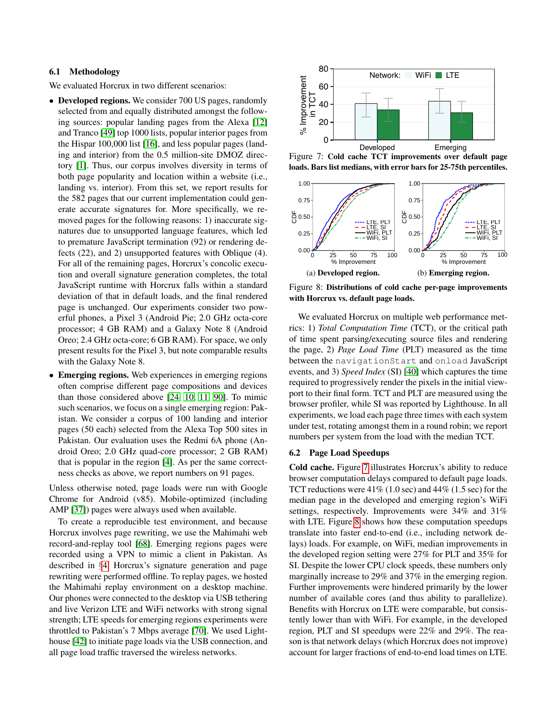## <span id="page-9-0"></span>6.1 Methodology

We evaluated Horcrux in two different scenarios:

- Developed regions. We consider 700 US pages, randomly selected from and equally distributed amongst the following sources: popular landing pages from the Alexa [\[12\]](#page-13-22) and Tranco [\[49\]](#page-14-24) top 1000 lists, popular interior pages from the Hispar 100,000 list [\[16\]](#page-13-23), and less popular pages (landing and interior) from the 0.5 million-site DMOZ directory [\[1\]](#page-13-24). Thus, our corpus involves diversity in terms of both page popularity and location within a website (i.e., landing vs. interior). From this set, we report results for the 582 pages that our current implementation could generate accurate signatures for. More specifically, we removed pages for the following reasons: 1) inaccurate signatures due to unsupported language features, which led to premature JavaScript termination (92) or rendering defects (22), and 2) unsupported features with Oblique (4). For all of the remaining pages, Horcrux's concolic execution and overall signature generation completes, the total JavaScript runtime with Horcrux falls within a standard deviation of that in default loads, and the final rendered page is unchanged. Our experiments consider two powerful phones, a Pixel 3 (Android Pie; 2.0 GHz octa-core processor; 4 GB RAM) and a Galaxy Note 8 (Android Oreo; 2.4 GHz octa-core; 6 GB RAM). For space, we only present results for the Pixel 3, but note comparable results with the Galaxy Note 8. the Higgar 100,000 init [16], and less popular page fande<br>
ing and intrinor) from the 0.5 million-site DMOZ lines-<br>
tory [1]. Thus, our corpus involves diversity in terms of<br>
beads. Bars<br>
beads, Bars<br>
beads, Bars<br>
beads,
- Emerging regions. Web experiences in emerging regions often comprise different page compositions and devices than those considered above [\[24,](#page-13-7) [10,](#page-13-25) [11,](#page-13-26) [90\]](#page-16-3). To mimic such scenarios, we focus on a single emerging region: Pakistan. We consider a corpus of 100 landing and interior pages (50 each) selected from the Alexa Top 500 sites in Pakistan. Our evaluation uses the Redmi 6A phone (Android Oreo; 2.0 GHz quad-core processor; 2 GB RAM) that is popular in the region [\[4\]](#page-13-14). As per the same correctness checks as above, we report numbers on 91 pages.

Unless otherwise noted, page loads were run with Google Chrome for Android (v85). Mobile-optimized (including AMP [\[37\]](#page-14-3)) pages were always used when available.

To create a reproducible test environment, and because Horcrux involves page rewriting, we use the Mahimahi web record-and-replay tool [\[68\]](#page-15-4). Emerging regions pages were recorded using a VPN to mimic a client in Pakistan. As described in §[4,](#page-4-4) Horcrux's signature generation and page rewriting were performed offline. To replay pages, we hosted the Mahimahi replay environment on a desktop machine. Our phones were connected to the desktop via USB tethering and live Verizon LTE and WiFi networks with strong signal strength; LTE speeds for emerging regions experiments were throttled to Pakistan's 7 Mbps average [\[70\]](#page-15-14). We used Lighthouse [\[42\]](#page-14-25) to initiate page loads via the USB connection, and

<span id="page-9-2"></span>

Figure 7: Cold cache TCT improvements over default page loads. Bars list medians, with error bars for 25-75th percentiles.

<span id="page-9-3"></span>

Figure 8: Distributions of cold cache per-page improvements with Horcrux vs. default page loads.

We evaluated Horcrux on multiple web performance metrics: 1) *Total Computation Time* (TCT), or the critical path of time spent parsing/executing source files and rendering the page, 2) *Page Load Time* (PLT) measured as the time between the navigationStart and onload JavaScript events, and 3) *Speed Index* (SI) [\[40\]](#page-14-13) which captures the time required to progressively render the pixels in the initial viewport to their final form. TCT and PLT are measured using the browser profiler, while SI was reported by Lighthouse. In all experiments, we load each page three times with each system under test, rotating amongst them in a round robin; we report numbers per system from the load with the median TCT.

#### <span id="page-9-1"></span>6.2 Page Load Speedups

Cold cache. Figure [7](#page-9-2) illustrates Horcrux's ability to reduce browser computation delays compared to default page loads. TCT reductions were  $41\%$  (1.0 sec) and  $44\%$  (1.5 sec) for the median page in the developed and emerging region's WiFi settings, respectively. Improvements were 34% and 31% with LTE. Figure [8](#page-9-3) shows how these computation speedups translate into faster end-to-end (i.e., including network delays) loads. For example, on WiFi, median improvements in the developed region setting were 27% for PLT and 35% for SI. Despite the lower CPU clock speeds, these numbers only marginally increase to 29% and 37% in the emerging region. Further improvements were hindered primarily by the lower number of available cores (and thus ability to parallelize). Benefits with Horcrux on LTE were comparable, but consistently lower than with WiFi. For example, in the developed region, PLT and SI speedups were 22% and 29%. The reason is that network delays (which Horcrux does not improve) account for larger fractions of end-to-end load times on LTE.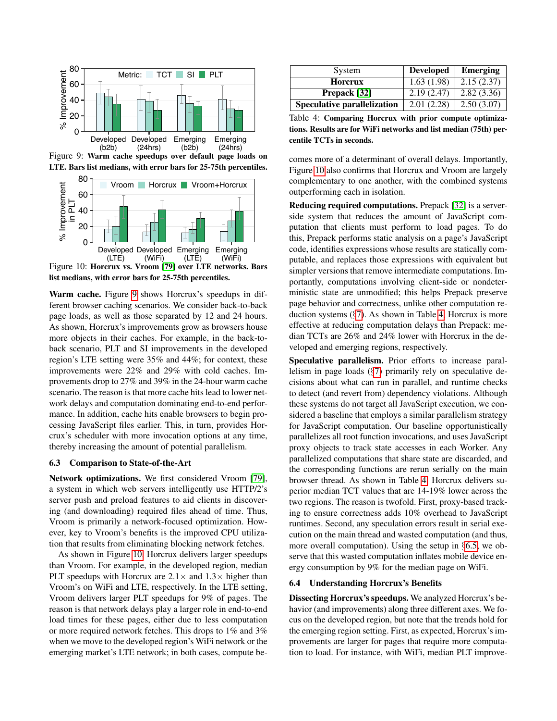<span id="page-10-2"></span>

Figure 9: Warm cache speedups over default page loads on LTE. Bars list medians, with error bars for 25-75th percentiles.

<span id="page-10-3"></span>

Figure 10: Horcrux vs. Vroom [\[79\]](#page-15-1) over LTE networks. Bars list medians, with error bars for 25-75th percentiles.

Warm cache. Figure [9](#page-10-2) shows Horcrux's speedups in different browser caching scenarios. We consider back-to-back page loads, as well as those separated by 12 and 24 hours. As shown, Horcrux's improvements grow as browsers house more objects in their caches. For example, in the back-toback scenario, PLT and SI improvements in the developed region's LTE setting were 35% and 44%; for context, these improvements were 22% and 29% with cold caches. Improvements drop to 27% and 39% in the 24-hour warm cache scenario. The reason is that more cache hits lead to lower network delays and computation dominating end-to-end performance. In addition, cache hits enable browsers to begin processing JavaScript files earlier. This, in turn, provides Horcrux's scheduler with more invocation options at any time, thereby increasing the amount of potential parallelism.

#### <span id="page-10-0"></span>6.3 Comparison to State-of-the-Art

Network optimizations. We first considered Vroom [\[79\]](#page-15-1), a system in which web servers intelligently use HTTP/2's server push and preload features to aid clients in discovering (and downloading) required files ahead of time. Thus, Vroom is primarily a network-focused optimization. However, key to Vroom's benefits is the improved CPU utilization that results from eliminating blocking network fetches.

As shown in Figure [10,](#page-10-3) Horcrux delivers larger speedups than Vroom. For example, in the developed region, median PLT speedups with Horcrux are  $2.1 \times$  and  $1.3 \times$  higher than Vroom's on WiFi and LTE, respectively. In the LTE setting, Vroom delivers larger PLT speedups for 9% of pages. The reason is that network delays play a larger role in end-to-end load times for these pages, either due to less computation or more required network fetches. This drops to 1% and 3% when we move to the developed region's WiFi network or the emerging market's LTE network; in both cases, compute be-

<span id="page-10-4"></span>

| System                             | <b>Developed</b> | <b>Emerging</b> |
|------------------------------------|------------------|-----------------|
| Horcrux                            | 1.63(1.98)       | 2.15(2.37)      |
| Prepack [32]                       | 2.19(2.47)       | 2.82(3.36)      |
| <b>Speculative parallelization</b> | 2.01(2.28)       | 2.50(3.07)      |

Table 4: Comparing Horcrux with prior compute optimizations. Results are for WiFi networks and list median (75th) percentile TCTs in seconds.

comes more of a determinant of overall delays. Importantly, Figure [10](#page-10-3) also confirms that Horcrux and Vroom are largely complementary to one another, with the combined systems outperforming each in isolation.

Reducing required computations. Prepack [\[32\]](#page-14-4) is a serverside system that reduces the amount of JavaScript computation that clients must perform to load pages. To do this, Prepack performs static analysis on a page's JavaScript code, identifies expressions whose results are statically computable, and replaces those expressions with equivalent but simpler versions that remove intermediate computations. Importantly, computations involving client-side or nondeterministic state are unmodified; this helps Prepack preserve page behavior and correctness, unlike other computation reduction systems  $(\S7)$  $(\S7)$ . As shown in Table [4,](#page-10-4) Horcrux is more effective at reducing computation delays than Prepack: median TCTs are 26% and 24% lower with Horcrux in the developed and emerging regions, respectively.

Speculative parallelism. Prior efforts to increase parallelism in page loads (§[7\)](#page-12-0) primarily rely on speculative decisions about what can run in parallel, and runtime checks to detect (and revert from) dependency violations. Although these systems do not target all JavaScript execution, we considered a baseline that employs a similar parallelism strategy for JavaScript computation. Our baseline opportunistically parallelizes all root function invocations, and uses JavaScript proxy objects to track state accesses in each Worker. Any parallelized computations that share state are discarded, and the corresponding functions are rerun serially on the main browser thread. As shown in Table [4,](#page-10-4) Horcrux delivers superior median TCT values that are 14-19% lower across the two regions. The reason is twofold. First, proxy-based tracking to ensure correctness adds 10% overhead to JavaScript runtimes. Second, any speculation errors result in serial execution on the main thread and wasted computation (and thus, more overall computation). Using the setup in §[6.5,](#page-11-0) we observe that this wasted computation inflates mobile device energy consumption by 9% for the median page on WiFi.

#### <span id="page-10-1"></span>6.4 Understanding Horcrux's Benefits

Dissecting Horcrux's speedups. We analyzed Horcrux's behavior (and improvements) along three different axes. We focus on the developed region, but note that the trends hold for the emerging region setting. First, as expected, Horcrux's improvements are larger for pages that require more computation to load. For instance, with WiFi, median PLT improve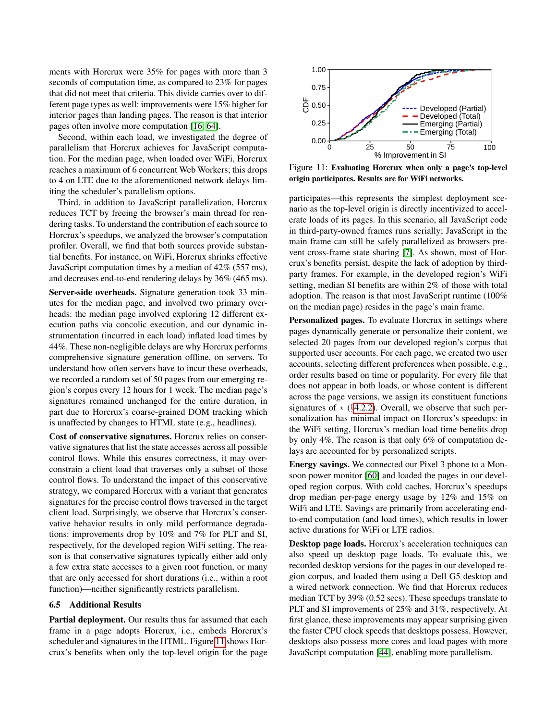ments with Horcrux were 35% for pages with more than 3 seconds of computation time, as compared to 23% for pages that did not meet that criteria. This divide carries over to different page types as well: improvements were 15% higher for interior pages than landing pages. The reason is that interior pages often involve more computation [\[16,](#page-13-23) [64\]](#page-15-3).

Second, within each load, we investigated the degree of parallelism that Horcrux achieves for JavaScript computation. For the median page, when loaded over WiFi, Horcrux reaches a maximum of 6 concurrent Web Workers; this drops to 4 on LTE due to the aforementioned network delays limiting the scheduler's parallelism options.

Third, in addition to JavaScript parallelization, Horcrux reduces TCT by freeing the browser's main thread for rendering tasks. To understand the contribution of each source to Horcrux's speedups, we analyzed the browser's computation profiler. Overall, we find that both sources provide substantial benefits. For instance, on WiFi, Horcrux shrinks effective JavaScript computation times by a median of 42% (557 ms), and decreases end-to-end rendering delays by 36% (465 ms).

Server-side overheads. Signature generation took 33 minutes for the median page, and involved two primary overheads: the median page involved exploring 12 different execution paths via concolic execution, and our dynamic instrumentation (incurred in each load) inflated load times by 44%. These non-negligible delays are why Horcrux performs comprehensive signature generation offline, on servers. To understand how often servers have to incur these overheads, we recorded a random set of 50 pages from our emerging region's corpus every 12 hours for 1 week. The median page's signatures remained unchanged for the entire duration, in part due to Horcrux's coarse-grained DOM tracking which is unaffected by changes to HTML state (e.g., headlines).

Cost of conservative signatures. Horcrux relies on conservative signatures that list the state accesses across all possible control flows. While this ensures correctness, it may overconstrain a client load that traverses only a subset of those control flows. To understand the impact of this conservative strategy, we compared Horcrux with a variant that generates signatures for the precise control flows traversed in the target client load. Surprisingly, we observe that Horcrux's conservative behavior results in only mild performance degradations: improvements drop by 10% and 7% for PLT and SI, respectively, for the developed region WiFi setting. The reason is that conservative signatures typically either add only a few extra state accesses to a given root function, or many that are only accessed for short durations (i.e., within a root function)—neither significantly restricts parallelism.

#### <span id="page-11-0"></span>6.5 Additional Results

Partial deployment. Our results thus far assumed that each frame in a page adopts Horcrux, i.e., embeds Horcrux's scheduler and signatures in the HTML. Figure [11](#page-11-1) shows Horcrux's benefits when only the top-level origin for the page

<span id="page-11-1"></span>

Figure 11: Evaluating Horcrux when only a page's top-level origin participates. Results are for WiFi networks.

participates—this represents the simplest deployment scenario as the top-level origin is directly incentivized to accelerate loads of its pages. In this scenario, all JavaScript code in third-party-owned frames runs serially; JavaScript in the main frame can still be safely parallelized as browsers prevent cross-frame state sharing [\[7\]](#page-13-17). As shown, most of Horcrux's benefits persist, despite the lack of adoption by thirdparty frames. For example, in the developed region's WiFi setting, median SI benefits are within 2% of those with total adoption. The reason is that most JavaScript runtime (100% on the median page) resides in the page's main frame.

Personalized pages. To evaluate Horcrux in settings where pages dynamically generate or personalize their content, we selected 20 pages from our developed region's corpus that supported user accounts. For each page, we created two user accounts, selecting different preferences when possible, e.g., order results based on time or popularity. For every file that does not appear in both loads, or whose content is different across the page versions, we assign its constituent functions signatures of  $\star$  (§[4.2.2\)](#page-6-0). Overall, we observe that such personalization has minimal impact on Horcrux's speedups: in the WiFi setting, Horcrux's median load time benefits drop by only 4%. The reason is that only 6% of computation delays are accounted for by personalized scripts.

Energy savings. We connected our Pixel 3 phone to a Monsoon power monitor [\[60\]](#page-15-15) and loaded the pages in our developed region corpus. With cold caches, Horcrux's speedups drop median per-page energy usage by 12% and 15% on WiFi and LTE. Savings are primarily from accelerating endto-end computation (and load times), which results in lower active durations for WiFi or LTE radios.

Desktop page loads. Horcrux's acceleration techniques can also speed up desktop page loads. To evaluate this, we recorded desktop versions for the pages in our developed region corpus, and loaded them using a Dell G5 desktop and a wired network connection. We find that Horcrux reduces median TCT by 39% (0.52 secs). These speedups translate to PLT and SI improvements of 25% and 31%, respectively. At first glance, these improvements may appear surprising given the faster CPU clock speeds that desktops possess. However, desktops also possess more cores and load pages with more JavaScript computation [\[44\]](#page-14-14), enabling more parallelism.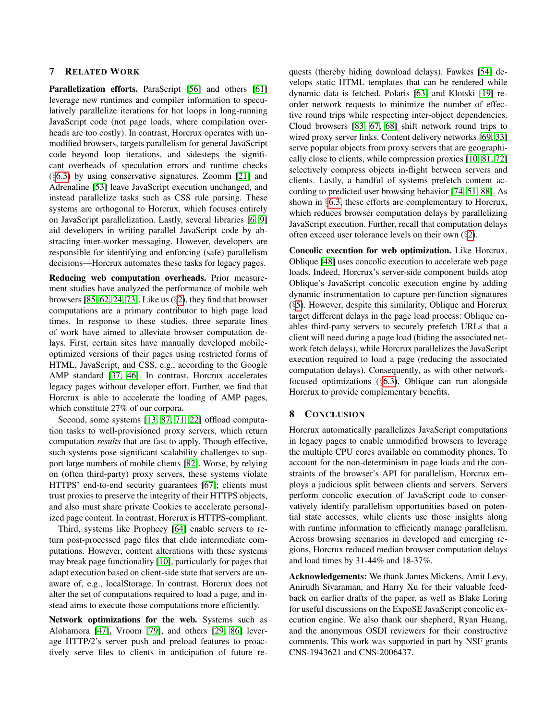# <span id="page-12-0"></span>7 RELATED WORK

Parallelization efforts. ParaScript [\[56\]](#page-14-10) and others [\[61\]](#page-15-16) leverage new runtimes and compiler information to speculatively parallelize iterations for hot loops in long-running JavaScript code (not page loads, where compilation overheads are too costly). In contrast, Horcrux operates with unmodified browsers, targets parallelism for general JavaScript code beyond loop iterations, and sidesteps the significant overheads of speculation errors and runtime checks (§[6.3\)](#page-10-0) by using conservative signatures. Zoomm [\[21\]](#page-13-12) and Adrenaline [\[53\]](#page-14-9) leave JavaScript execution unchanged, and instead parallelize tasks such as CSS rule parsing. These systems are orthogonal to Horcrux, which focuses entirely on JavaScript parallelization. Lastly, several libraries [\[6,](#page-13-11) [9\]](#page-13-27) aid developers in writing parallel JavaScript code by abstracting inter-worker messaging. However, developers are responsible for identifying and enforcing (safe) parallelism decisions—Horcrux automates these tasks for legacy pages.

Reducing web computation overheads. Prior measurement studies have analyzed the performance of mobile web browsers [\[85,](#page-16-0) [62,](#page-15-2) [24,](#page-13-7) [73\]](#page-15-17). Like us (§[2\)](#page-1-0), they find that browser computations are a primary contributor to high page load times. In response to these studies, three separate lines of work have aimed to alleviate browser computation delays. First, certain sites have manually developed mobileoptimized versions of their pages using restricted forms of HTML, JavaScript, and CSS, e.g., according to the Google AMP standard [\[37,](#page-14-3) [46\]](#page-14-26). In contrast, Horcrux accelerates legacy pages without developer effort. Further, we find that Horcrux is able to accelerate the loading of AMP pages, which constitute 27% of our corpora.

Second, some systems [\[13,](#page-13-6) [87,](#page-16-4) [71,](#page-15-6) [22\]](#page-13-5) offload computation tasks to well-provisioned proxy servers, which return computation *results* that are fast to apply. Though effective, such systems pose significant scalability challenges to support large numbers of mobile clients [\[82\]](#page-15-18). Worse, by relying on (often third-party) proxy servers, these systems violate HTTPS' end-to-end security guarantees [\[67\]](#page-15-5); clients must trust proxies to preserve the integrity of their HTTPS objects, and also must share private Cookies to accelerate personalized page content. In contrast, Horcrux is HTTPS-compliant.

Third, systems like Prophecy [\[64\]](#page-15-3) enable servers to return post-processed page files that elide intermediate computations. However, content alterations with these systems may break page functionality [\[10\]](#page-13-25), particularly for pages that adapt execution based on client-side state that servers are unaware of, e.g., localStorage. In contrast, Horcrux does not alter the set of computations required to load a page, and instead aims to execute those computations more efficiently.

Network optimizations for the web. Systems such as Alohamora [\[47\]](#page-14-17), Vroom [\[79\]](#page-15-1), and others [\[29,](#page-13-28) [86\]](#page-16-5) leverage HTTP/2's server push and preload features to proactively serve files to clients in anticipation of future re-

quests (thereby hiding download delays). Fawkes [\[54\]](#page-14-16) develops static HTML templates that can be rendered while dynamic data is fetched. Polaris [\[63\]](#page-15-10) and Klotski [\[19\]](#page-13-29) reorder network requests to minimize the number of effective round trips while respecting inter-object dependencies. Cloud browsers [\[83,](#page-15-19) [67,](#page-15-5) [68\]](#page-15-4) shift network round trips to wired proxy server links. Content delivery networks [\[69,](#page-15-20) [33\]](#page-14-27) serve popular objects from proxy servers that are geographically close to clients, while compression proxies [\[10,](#page-13-25) [81,](#page-15-21) [72\]](#page-15-22) selectively compress objects in-flight between servers and clients. Lastly, a handful of systems prefetch content according to predicted user browsing behavior [\[74,](#page-15-23) [51,](#page-14-28) [88\]](#page-16-6). As shown in §[6.3,](#page-10-0) these efforts are complementary to Horcrux, which reduces browser computation delays by parallelizing JavaScript execution. Further, recall that computation delays often exceed user tolerance levels on their own (§[2\)](#page-1-0).

Concolic execution for web optimization. Like Horcrux, Oblique [\[48\]](#page-14-11) uses concolic execution to accelerate web page loads. Indeed, Horcrux's server-side component builds atop Oblique's JavaScript concolic execution engine by adding dynamic instrumentation to capture per-function signatures (§[5\)](#page-8-1). However, despite this similarity, Oblique and Horcrux target different delays in the page load process: Oblique enables third-party servers to securely prefetch URLs that a client will need during a page load (hiding the associated network fetch delays), while Horcrux parallelizes the JavaScript execution required to load a page (reducing the associated computation delays). Consequently, as with other networkfocused optimizations (§[6.3\)](#page-10-0), Oblique can run alongside Horcrux to provide complementary benefits.

# 8 CONCLUSION

Horcrux automatically parallelizes JavaScript computations in legacy pages to enable unmodified browsers to leverage the multiple CPU cores available on commodity phones. To account for the non-determinism in page loads and the constraints of the browser's API for parallelism, Horcrux employs a judicious split between clients and servers. Servers perform concolic execution of JavaScript code to conservatively identify parallelism opportunities based on potential state accesses, while clients use those insights along with runtime information to efficiently manage parallelism. Across browsing scenarios in developed and emerging regions, Horcrux reduced median browser computation delays and load times by 31-44% and 18-37%.

Acknowledgements: We thank James Mickens, Amit Levy, Anirudh Sivaraman, and Harry Xu for their valuable feedback on earlier drafts of the paper, as well as Blake Loring for useful discussions on the ExpoSE JavaScript concolic execution engine. We also thank our shepherd, Ryan Huang, and the anonymous OSDI reviewers for their constructive comments. This work was supported in part by NSF grants CNS-1943621 and CNS-2006437.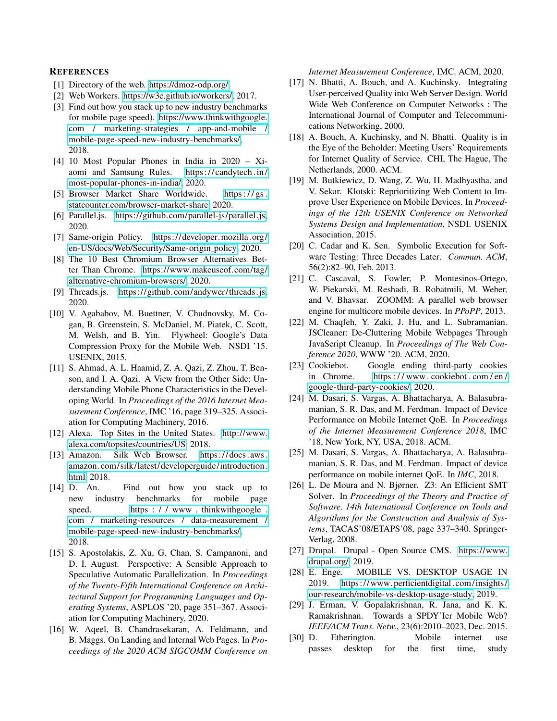### **REFERENCES**

- <span id="page-13-24"></span>[1] Directory of the web. [https://dmoz-odp.org/.](https://dmoz-odp.org/)
- <span id="page-13-9"></span>[2] Web Workers. [https://w3c.github.io/workers/,](https://w3c.github.io/workers/) 2017.
- <span id="page-13-13"></span>[3] Find out how you stack up to new industry benchmarks for mobile page speed). [https://www.thinkwithgoogle.](https://www.thinkwithgoogle.com/marketing-strategies/app-and-mobile/mobile-page-speed-new-industry-benchmarks/) [com / marketing-strategies / app-and-mobile /](https://www.thinkwithgoogle.com/marketing-strategies/app-and-mobile/mobile-page-speed-new-industry-benchmarks/) [mobile-page-speed-new-industry-benchmarks/,](https://www.thinkwithgoogle.com/marketing-strategies/app-and-mobile/mobile-page-speed-new-industry-benchmarks/) 2018.
- <span id="page-13-14"></span>[4] 10 Most Popular Phones in India in 2020 – Xiaomi and Samsung Rules. [https:// candytech .in/](https://candytech.in/most-popular-phones-in-india/) [most-popular-phones-in-india/,](https://candytech.in/most-popular-phones-in-india/) 2020.
- <span id="page-13-16"></span>[5] Browser Market Share Worldwide. https://gs. [statcounter.com/browser-market-share,](https://gs.statcounter.com/browser-market-share) 2020.
- <span id="page-13-11"></span>[6] Parallel.js. [https://github.com/parallel-js/parallel.js,](https://github.com/parallel-js/parallel.js) 2020.
- <span id="page-13-17"></span>[7] Same-origin Policy. [https://developer.mozilla.org/](https://developer.mozilla.org/en-US/docs/Web/Security/Same-origin_policy) [en-US/docs/Web/Security/Same-origin](https://developer.mozilla.org/en-US/docs/Web/Security/Same-origin_policy) policy, 2020.
- <span id="page-13-15"></span>[8] The 10 Best Chromium Browser Alternatives Better Than Chrome. [https://www.makeuseof.com/tag/](https://www.makeuseof.com/tag/alternative-chromium-browsers/) [alternative-chromium-browsers/,](https://www.makeuseof.com/tag/alternative-chromium-browsers/) 2020.
- <span id="page-13-27"></span>[9] Threads.js. [https://github.com/andywer/threads.js,](https://github.com/andywer/threads.js) 2020.
- <span id="page-13-25"></span>[10] V. Agababov, M. Buettner, V. Chudnovsky, M. Cogan, B. Greenstein, S. McDaniel, M. Piatek, C. Scott, M. Welsh, and B. Yin. Flywheel: Google's Data Compression Proxy for the Mobile Web. NSDI '15. USENIX, 2015.
- <span id="page-13-26"></span>[11] S. Ahmad, A. L. Haamid, Z. A. Qazi, Z. Zhou, T. Benson, and I. A. Qazi. A View from the Other Side: Understanding Mobile Phone Characteristics in the Developing World. In *Proceedings of the 2016 Internet Measurement Conference*, IMC '16, page 319–325. Association for Computing Machinery, 2016.
- <span id="page-13-22"></span>[12] Alexa. Top Sites in the United States. [http://www.](http://www.alexa.com/topsites/countries/US) [alexa.com/topsites/countries/US,](http://www.alexa.com/topsites/countries/US) 2018.
- <span id="page-13-6"></span>[13] Amazon. Silk Web Browser. [https:// docs. aws.](https://docs.aws.amazon.com/silk/latest/developerguide/introduction.html) [amazon.com/silk/latest/developerguide/introduction.](https://docs.aws.amazon.com/silk/latest/developerguide/introduction.html) [html,](https://docs.aws.amazon.com/silk/latest/developerguide/introduction.html) 2018.
- <span id="page-13-4"></span>[14] D. An. Find out how you stack up to new industry benchmarks for mobile page speed. https : / / www.thinkwithgoogle. [com / marketing-resources / data-measurement /](https://www.thinkwithgoogle.com/marketing-resources/data-measurement/mobile-page-speed-new-industry-benchmarks/) [mobile-page-speed-new-industry-benchmarks/,](https://www.thinkwithgoogle.com/marketing-resources/data-measurement/mobile-page-speed-new-industry-benchmarks/) 2018.
- <span id="page-13-10"></span>[15] S. Apostolakis, Z. Xu, G. Chan, S. Campanoni, and D. I. August. Perspective: A Sensible Approach to Speculative Automatic Parallelization. In *Proceedings of the Twenty-Fifth International Conference on Architectural Support for Programming Languages and Operating Systems*, ASPLOS '20, page 351–367. Association for Computing Machinery, 2020.
- <span id="page-13-23"></span>[16] W. Aqeel, B. Chandrasekaran, A. Feldmann, and B. Maggs. On Landing and Internal Web Pages. In *Proceedings of the 2020 ACM SIGCOMM Conference on*

*Internet Measurement Conference*, IMC. ACM, 2020.

- <span id="page-13-2"></span>[17] N. Bhatti, A. Bouch, and A. Kuchinsky. Integrating User-perceived Quality into Web Server Design. World Wide Web Conference on Computer Networks : The International Journal of Computer and Telecommunications Networking, 2000.
- <span id="page-13-3"></span>[18] A. Bouch, A. Kuchinsky, and N. Bhatti. Quality is in the Eye of the Beholder: Meeting Users' Requirements for Internet Quality of Service. CHI, The Hague, The Netherlands, 2000. ACM.
- <span id="page-13-29"></span>[19] M. Butkiewicz, D. Wang, Z. Wu, H. Madhyastha, and V. Sekar. Klotski: Reprioritizing Web Content to Improve User Experience on Mobile Devices. In *Proceedings of the 12th USENIX Conference on Networked Systems Design and Implementation*, NSDI. USENIX Association, 2015.
- <span id="page-13-20"></span>[20] C. Cadar and K. Sen. Symbolic Execution for Software Testing: Three Decades Later. *Commun. ACM*, 56(2):82–90, Feb. 2013.
- <span id="page-13-12"></span>[21] C. Cascaval, S. Fowler, P. Montesinos-Ortego, W. Piekarski, M. Reshadi, B. Robatmili, M. Weber, and V. Bhavsar. ZOOMM: A parallel web browser engine for multicore mobile devices. In *PPoPP*, 2013.
- <span id="page-13-5"></span>[22] M. Chaqfeh, Y. Zaki, J. Hu, and L. Subramanian. JSCleaner: De-Cluttering Mobile Webpages Through JavaScript Cleanup. In *Proceedings of The Web Conference 2020*, WWW '20. ACM, 2020.
- <span id="page-13-21"></span>[23] Cookiebot. Google ending third-party cookies in Chrome. [https : / / www . cookiebot . com / en /](https://www.cookiebot.com/en/google-third-party-cookies/) [google-third-party-cookies/,](https://www.cookiebot.com/en/google-third-party-cookies/) 2020.
- <span id="page-13-7"></span>[24] M. Dasari, S. Vargas, A. Bhattacharya, A. Balasubramanian, S. R. Das, and M. Ferdman. Impact of Device Performance on Mobile Internet QoE. In *Proceedings of the Internet Measurement Conference 2018*, IMC '18, New York, NY, USA, 2018. ACM.
- <span id="page-13-8"></span>[25] M. Dasari, S. Vargas, A. Bhattacharya, A. Balasubramanian, S. R. Das, and M. Ferdman. Impact of device performance on mobile internet QoE. In *IMC*, 2018.
- <span id="page-13-19"></span>[26] L. De Moura and N. Bjørner. Z3: An Efficient SMT Solver. In *Proceedings of the Theory and Practice of Software, 14th International Conference on Tools and Algorithms for the Construction and Analysis of Systems*, TACAS'08/ETAPS'08, page 337–340. Springer-Verlag, 2008.
- <span id="page-13-18"></span>[27] Drupal. Drupal - Open Source CMS. [https://www.](https://www.drupal.org/) [drupal.org/,](https://www.drupal.org/) 2019.
- <span id="page-13-0"></span>[28] E. Enge. MOBILE VS. DESKTOP USAGE IN 2019. [https://www. perficientdigital. com/insights/](https://www.perficientdigital.com/insights/our-research/mobile-vs-desktop-usage-study) [our-research/mobile-vs-desktop-usage-study,](https://www.perficientdigital.com/insights/our-research/mobile-vs-desktop-usage-study) 2019.
- <span id="page-13-28"></span>[29] J. Erman, V. Gopalakrishnan, R. Jana, and K. K. Ramakrishnan. Towards a SPDY'Ier Mobile Web? *IEEE/ACM Trans. Netw.*, 23(6):2010–2023, Dec. 2015.
- <span id="page-13-1"></span>[30] D. Etherington. Mobile internet use passes desktop for the first time, study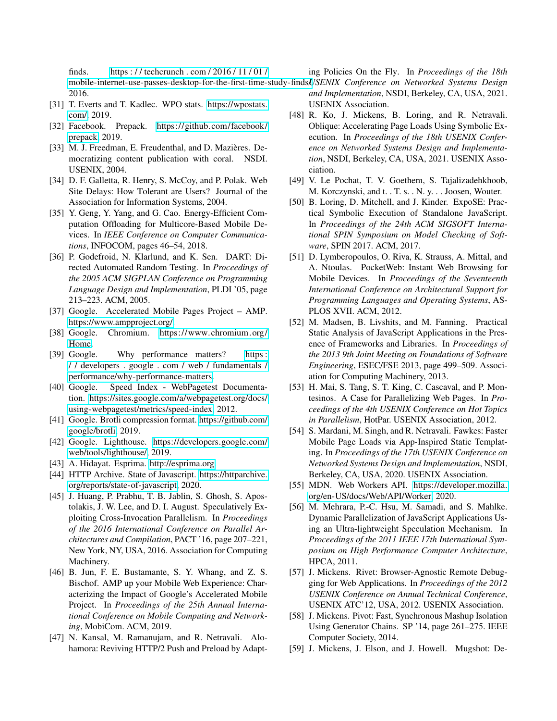finds. [https : / / techcrunch . com / 2016 / 11 / 01 /](https://techcrunch.com/2016/11/01/mobile-internet-use-passes-desktop-for-the-first-time-study-finds/) mobile-internet-use-passes-desktop-for-the-first-time-study-finds*l.JSENIX Conference on Networked Systems Design* 2016. ing Policies On the Fly. In *Proceedings of the 18th*

- <span id="page-14-2"></span>[31] T. Everts and T. Kadlec. WPO stats. [https://wpostats.](https://wpostats.com/) [com/,](https://wpostats.com/) 2019.
- <span id="page-14-4"></span>[32] Facebook. Prepack. [https://github.com/facebook/](https://github.com/facebook/prepack) [prepack,](https://github.com/facebook/prepack) 2019.
- <span id="page-14-27"></span>[33] M. J. Freedman, E. Freudenthal, and D. Mazières. Democratizing content publication with coral. NSDI. USENIX, 2004.
- <span id="page-14-0"></span>[34] D. F. Galletta, R. Henry, S. McCoy, and P. Polak. Web Site Delays: How Tolerant are Users? Journal of the Association for Information Systems, 2004.
- <span id="page-14-6"></span>[35] Y. Geng, Y. Yang, and G. Cao. Energy-Efficient Computation Offloading for Multicore-Based Mobile Devices. In *IEEE Conference on Computer Communications*, INFOCOM, pages 46–54, 2018.
- <span id="page-14-12"></span>[36] P. Godefroid, N. Klarlund, and K. Sen. DART: Directed Automated Random Testing. In *Proceedings of the 2005 ACM SIGPLAN Conference on Programming Language Design and Implementation*, PLDI '05, page 213–223. ACM, 2005.
- <span id="page-14-3"></span>[37] Google. Accelerated Mobile Pages Project – AMP. [https://www.ampproject.org/.](https://www.ampproject.org/)
- <span id="page-14-5"></span>[38] Google. Chromium. [https://www.chromium.org/](https://www.chromium.org/Home) [Home.](https://www.chromium.org/Home)
- <span id="page-14-1"></span>[39] Google. Why performance matters? https: [/ / developers . google . com / web / fundamentals /](https://developers.google.com/web/fundamentals/performance/why-performance-matters) [performance/why-performance-matters.](https://developers.google.com/web/fundamentals/performance/why-performance-matters)
- <span id="page-14-13"></span>[40] Google. Speed Index - WebPagetest Documentation. [https://sites.google.com/a/webpagetest.org/docs/](https://sites.google.com/a/webpagetest.org/docs/using-webpagetest/metrics/speed-index) [using-webpagetest/metrics/speed-index,](https://sites.google.com/a/webpagetest.org/docs/using-webpagetest/metrics/speed-index) 2012.
- <span id="page-14-23"></span>[41] Google. Brotli compression format. [https://github.com/](https://github.com/google/brotli) [google/brotli,](https://github.com/google/brotli) 2019.
- <span id="page-14-25"></span>[42] Google. Lighthouse. [https://developers.google.com/](https://developers.google.com/web/tools/lighthouse/) [web/tools/lighthouse/,](https://developers.google.com/web/tools/lighthouse/) 2019.
- <span id="page-14-21"></span>[43] A. Hidayat. Esprima. [http://esprima.org.](http://esprima.org)
- <span id="page-14-14"></span>[44] HTTP Archive. State of Javascript. [https://httparchive.](https://httparchive.org/reports/state-of-javascript) [org/reports/state-of-javascript,](https://httparchive.org/reports/state-of-javascript) 2020.
- <span id="page-14-8"></span>[45] J. Huang, P. Prabhu, T. B. Jablin, S. Ghosh, S. Apostolakis, J. W. Lee, and D. I. August. Speculatively Exploiting Cross-Invocation Parallelism. In *Proceedings of the 2016 International Conference on Parallel Architectures and Compilation*, PACT '16, page 207–221, New York, NY, USA, 2016. Association for Computing Machinery.
- <span id="page-14-26"></span>[46] B. Jun, F. E. Bustamante, S. Y. Whang, and Z. S. Bischof. AMP up your Mobile Web Experience: Characterizing the Impact of Google's Accelerated Mobile Project. In *Proceedings of the 25th Annual International Conference on Mobile Computing and Networking*, MobiCom. ACM, 2019.
- <span id="page-14-17"></span>[47] N. Kansal, M. Ramanujam, and R. Netravali. Alohamora: Reviving HTTP/2 Push and Preload by Adapt-

- *and Implementation*, NSDI, Berkeley, CA, USA, 2021. USENIX Association.
- <span id="page-14-11"></span>[48] R. Ko, J. Mickens, B. Loring, and R. Netravali. Oblique: Accelerating Page Loads Using Symbolic Execution. In *Proceedings of the 18th USENIX Conference on Networked Systems Design and Implementation*, NSDI, Berkeley, CA, USA, 2021. USENIX Association.
- <span id="page-14-24"></span>[49] V. Le Pochat, T. V. Goethem, S. Tajalizadehkhoob, M. Korczynski, and t. . T. s. . N. y. . . Joosen, Wouter.
- <span id="page-14-22"></span>[50] B. Loring, D. Mitchell, and J. Kinder. ExpoSE: Practical Symbolic Execution of Standalone JavaScript. In *Proceedings of the 24th ACM SIGSOFT International SPIN Symposium on Model Checking of Software*, SPIN 2017. ACM, 2017.
- <span id="page-14-28"></span>[51] D. Lymberopoulos, O. Riva, K. Strauss, A. Mittal, and A. Ntoulas. PocketWeb: Instant Web Browsing for Mobile Devices. In *Proceedings of the Seventeenth International Conference on Architectural Support for Programming Languages and Operating Systems*, AS-PLOS XVII. ACM, 2012.
- <span id="page-14-18"></span>[52] M. Madsen, B. Livshits, and M. Fanning. Practical Static Analysis of JavaScript Applications in the Presence of Frameworks and Libraries. In *Proceedings of the 2013 9th Joint Meeting on Foundations of Software Engineering*, ESEC/FSE 2013, page 499–509. Association for Computing Machinery, 2013.
- <span id="page-14-9"></span>[53] H. Mai, S. Tang, S. T. King, C. Cascaval, and P. Montesinos. A Case for Parallelizing Web Pages. In *Proceedings of the 4th USENIX Conference on Hot Topics in Parallelism*, HotPar. USENIX Association, 2012.
- <span id="page-14-16"></span>[54] S. Mardani, M. Singh, and R. Netravali. Fawkes: Faster Mobile Page Loads via App-Inspired Static Templating. In *Proceedings of the 17th USENIX Conference on Networked Systems Design and Implementation*, NSDI, Berkeley, CA, USA, 2020. USENIX Association.
- <span id="page-14-7"></span>[55] MDN. Web Workers API. [https://developer.mozilla.](https://developer.mozilla.org/en-US/docs/Web/API/Worker) [org/en-US/docs/Web/API/Worker,](https://developer.mozilla.org/en-US/docs/Web/API/Worker) 2020.
- <span id="page-14-10"></span>[56] M. Mehrara, P.-C. Hsu, M. Samadi, and S. Mahlke. Dynamic Parallelization of JavaScript Applications Using an Ultra-lightweight Speculation Mechanism. In *Proceedings of the 2011 IEEE 17th International Symposium on High Performance Computer Architecture*, HPCA, 2011.
- <span id="page-14-19"></span>[57] J. Mickens. Rivet: Browser-Agnostic Remote Debugging for Web Applications. In *Proceedings of the 2012 USENIX Conference on Annual Technical Conference*, USENIX ATC'12, USA, 2012. USENIX Association.
- <span id="page-14-20"></span>[58] J. Mickens. Pivot: Fast, Synchronous Mashup Isolation Using Generator Chains. SP '14, page 261–275. IEEE Computer Society, 2014.
- <span id="page-14-15"></span>[59] J. Mickens, J. Elson, and J. Howell. Mugshot: De-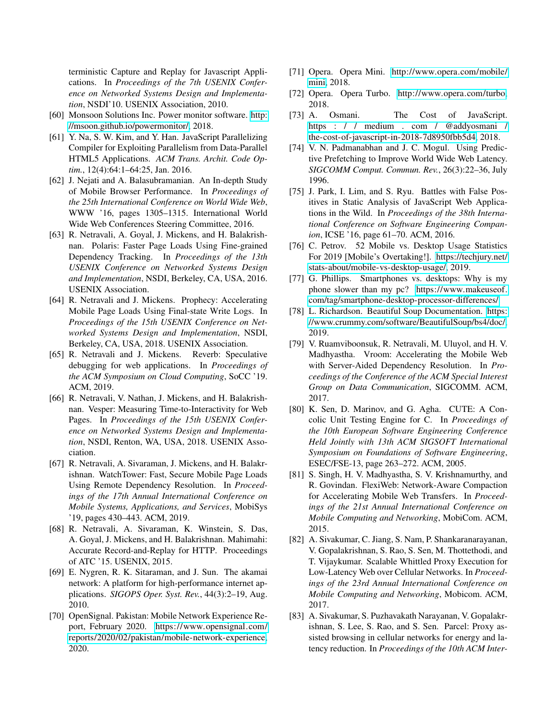terministic Capture and Replay for Javascript Applications. In *Proceedings of the 7th USENIX Conference on Networked Systems Design and Implementation*, NSDI'10. USENIX Association, 2010.

- <span id="page-15-15"></span>[60] Monsoon Solutions Inc. Power monitor software. [http:](http://msoon.github.io/powermonitor/) [//msoon.github.io/powermonitor/,](http://msoon.github.io/powermonitor/) 2018.
- <span id="page-15-16"></span>[61] Y. Na, S. W. Kim, and Y. Han. JavaScript Parallelizing Compiler for Exploiting Parallelism from Data-Parallel HTML5 Applications. *ACM Trans. Archit. Code Optim.*, 12(4):64:1–64:25, Jan. 2016.
- <span id="page-15-2"></span>[62] J. Nejati and A. Balasubramanian. An In-depth Study of Mobile Browser Performance. In *Proceedings of the 25th International Conference on World Wide Web*, WWW '16, pages 1305–1315. International World Wide Web Conferences Steering Committee, 2016.
- <span id="page-15-10"></span>[63] R. Netravali, A. Goyal, J. Mickens, and H. Balakrishnan. Polaris: Faster Page Loads Using Fine-grained Dependency Tracking. In *Proceedings of the 13th USENIX Conference on Networked Systems Design and Implementation*, NSDI, Berkeley, CA, USA, 2016. USENIX Association.
- <span id="page-15-3"></span>[64] R. Netravali and J. Mickens. Prophecy: Accelerating Mobile Page Loads Using Final-state Write Logs. In *Proceedings of the 15th USENIX Conference on Networked Systems Design and Implementation*, NSDI, Berkeley, CA, USA, 2018. USENIX Association.
- <span id="page-15-7"></span>[65] R. Netravali and J. Mickens. Reverb: Speculative debugging for web applications. In *Proceedings of the ACM Symposium on Cloud Computing*, SoCC '19. ACM, 2019.
- <span id="page-15-12"></span>[66] R. Netravali, V. Nathan, J. Mickens, and H. Balakrishnan. Vesper: Measuring Time-to-Interactivity for Web Pages. In *Proceedings of the 15th USENIX Conference on Networked Systems Design and Implementation*, NSDI, Renton, WA, USA, 2018. USENIX Association.
- <span id="page-15-5"></span>[67] R. Netravali, A. Sivaraman, J. Mickens, and H. Balakrishnan. WatchTower: Fast, Secure Mobile Page Loads Using Remote Dependency Resolution. In *Proceedings of the 17th Annual International Conference on Mobile Systems, Applications, and Services*, MobiSys '19, pages 430–443. ACM, 2019.
- <span id="page-15-4"></span>[68] R. Netravali, A. Sivaraman, K. Winstein, S. Das, A. Goyal, J. Mickens, and H. Balakrishnan. Mahimahi: Accurate Record-and-Replay for HTTP. Proceedings of ATC '15. USENIX, 2015.
- <span id="page-15-20"></span>[69] E. Nygren, R. K. Sitaraman, and J. Sun. The akamai network: A platform for high-performance internet applications. *SIGOPS Oper. Syst. Rev.*, 44(3):2–19, Aug. 2010.
- <span id="page-15-14"></span>[70] OpenSignal. Pakistan: Mobile Network Experience Report, February 2020. [https://www.opensignal.com/](https://www.opensignal.com/reports/2020/02/pakistan/mobile-network-experience) [reports/2020/02/pakistan/mobile-network-experience,](https://www.opensignal.com/reports/2020/02/pakistan/mobile-network-experience) 2020.
- <span id="page-15-6"></span>[71] Opera. Opera Mini. [http://www.opera.com/mobile/](http://www.opera.com/mobile/mini) [mini,](http://www.opera.com/mobile/mini) 2018.
- <span id="page-15-22"></span>[72] Opera. Opera Turbo. [http://www.opera.com/turbo,](http://www.opera.com/turbo) 2018.
- <span id="page-15-17"></span>[73] A. Osmani. The Cost of JavaScript. [https : / / medium . com / @addyosmani /](https://medium.com/@addyosmani/the-cost-of-javascript-in-2018-7d8950fbb5d4) [the-cost-of-javascript-in-2018-7d8950fbb5d4,](https://medium.com/@addyosmani/the-cost-of-javascript-in-2018-7d8950fbb5d4) 2018.
- <span id="page-15-23"></span>[74] V. N. Padmanabhan and J. C. Mogul. Using Predictive Prefetching to Improve World Wide Web Latency. *SIGCOMM Comput. Commun. Rev.*, 26(3):22–36, July 1996.
- <span id="page-15-11"></span>[75] J. Park, I. Lim, and S. Ryu. Battles with False Positives in Static Analysis of JavaScript Web Applications in the Wild. In *Proceedings of the 38th International Conference on Software Engineering Companion*, ICSE '16, page 61–70. ACM, 2016.
- <span id="page-15-0"></span>[76] C. Petrov. 52 Mobile vs. Desktop Usage Statistics For 2019 [Mobile's Overtaking!]. [https://techjury.net/](https://techjury.net/stats-about/mobile-vs-desktop-usage/) [stats-about/mobile-vs-desktop-usage/,](https://techjury.net/stats-about/mobile-vs-desktop-usage/) 2019.
- <span id="page-15-8"></span>[77] G. Phillips. Smartphones vs. desktops: Why is my phone slower than my pc? [https://www.makeuseof.](https://www.makeuseof.com/tag/smartphone-desktop-processor-differences/) [com/tag/smartphone-desktop-processor-differences/.](https://www.makeuseof.com/tag/smartphone-desktop-processor-differences/)
- <span id="page-15-13"></span>[78] L. Richardson. Beautiful Soup Documentation. [https:](https://www.crummy.com/software/BeautifulSoup/bs4/doc/) [//www.crummy.com/software/BeautifulSoup/bs4/doc/,](https://www.crummy.com/software/BeautifulSoup/bs4/doc/) 2019.
- <span id="page-15-1"></span>[79] V. Ruamviboonsuk, R. Netravali, M. Uluyol, and H. V. Madhyastha. Vroom: Accelerating the Mobile Web with Server-Aided Dependency Resolution. In *Proceedings of the Conference of the ACM Special Interest Group on Data Communication*, SIGCOMM. ACM, 2017.
- <span id="page-15-9"></span>[80] K. Sen, D. Marinov, and G. Agha. CUTE: A Concolic Unit Testing Engine for C. In *Proceedings of the 10th European Software Engineering Conference Held Jointly with 13th ACM SIGSOFT International Symposium on Foundations of Software Engineering*, ESEC/FSE-13, page 263–272. ACM, 2005.
- <span id="page-15-21"></span>[81] S. Singh, H. V. Madhyastha, S. V. Krishnamurthy, and R. Govindan. FlexiWeb: Network-Aware Compaction for Accelerating Mobile Web Transfers. In *Proceedings of the 21st Annual International Conference on Mobile Computing and Networking*, MobiCom. ACM, 2015.
- <span id="page-15-18"></span>[82] A. Sivakumar, C. Jiang, S. Nam, P. Shankaranarayanan, V. Gopalakrishnan, S. Rao, S. Sen, M. Thottethodi, and T. Vijaykumar. Scalable Whittled Proxy Execution for Low-Latency Web over Cellular Networks. In *Proceedings of the 23rd Annual International Conference on Mobile Computing and Networking*, Mobicom. ACM, 2017.
- <span id="page-15-19"></span>[83] A. Sivakumar, S. Puzhavakath Narayanan, V. Gopalakrishnan, S. Lee, S. Rao, and S. Sen. Parcel: Proxy assisted browsing in cellular networks for energy and latency reduction. In *Proceedings of the 10th ACM Inter-*